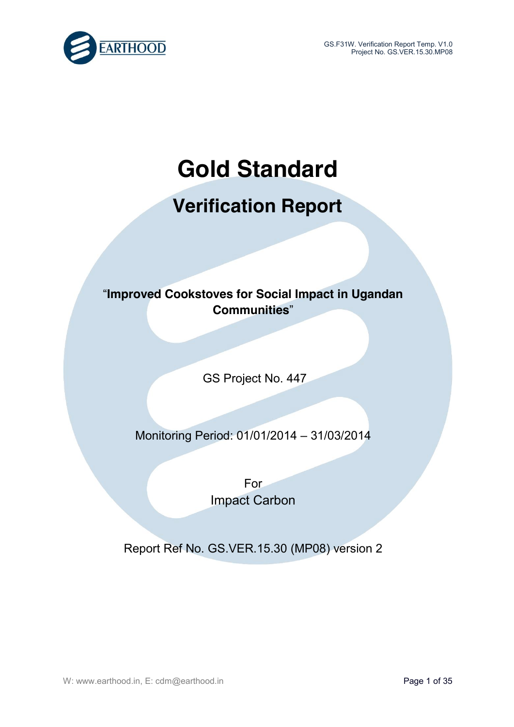

# **Gold Standard**

# **Verification Report**

# "**Improved Cookstoves for Social Impact in Ugandan Communities**"

GS Project No. 447

# Monitoring Period: 01/01/2014 – 31/03/2014

For Impact Carbon

Report Ref No. GS.VER.15.30 (MP08) version 2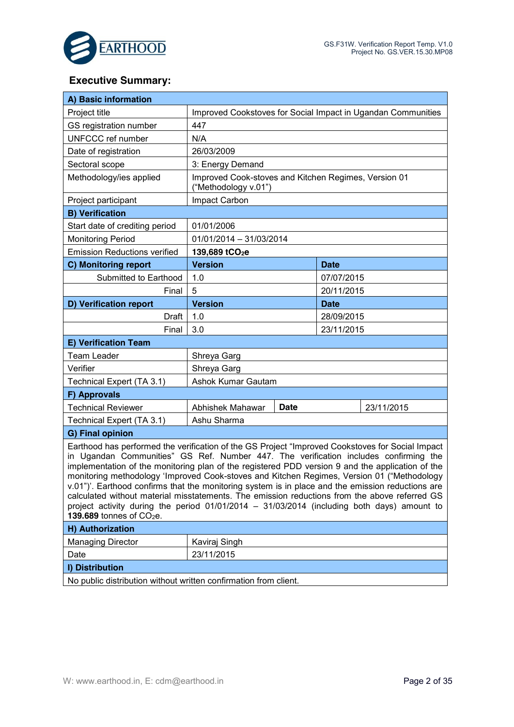

## **Executive Summary:**

| A) Basic information                                                                                                                                                                                                                                                                                                                                                                                                                                                                                                                                                                                                                                                                                                                     |                                                              |             |                                                      |  |
|------------------------------------------------------------------------------------------------------------------------------------------------------------------------------------------------------------------------------------------------------------------------------------------------------------------------------------------------------------------------------------------------------------------------------------------------------------------------------------------------------------------------------------------------------------------------------------------------------------------------------------------------------------------------------------------------------------------------------------------|--------------------------------------------------------------|-------------|------------------------------------------------------|--|
| Project title                                                                                                                                                                                                                                                                                                                                                                                                                                                                                                                                                                                                                                                                                                                            | Improved Cookstoves for Social Impact in Ugandan Communities |             |                                                      |  |
| GS registration number                                                                                                                                                                                                                                                                                                                                                                                                                                                                                                                                                                                                                                                                                                                   | 447                                                          |             |                                                      |  |
| UNFCCC ref number                                                                                                                                                                                                                                                                                                                                                                                                                                                                                                                                                                                                                                                                                                                        | N/A                                                          |             |                                                      |  |
| Date of registration                                                                                                                                                                                                                                                                                                                                                                                                                                                                                                                                                                                                                                                                                                                     | 26/03/2009                                                   |             |                                                      |  |
| Sectoral scope                                                                                                                                                                                                                                                                                                                                                                                                                                                                                                                                                                                                                                                                                                                           | 3: Energy Demand                                             |             |                                                      |  |
| Methodology/ies applied                                                                                                                                                                                                                                                                                                                                                                                                                                                                                                                                                                                                                                                                                                                  | ("Methodology v.01")                                         |             | Improved Cook-stoves and Kitchen Regimes, Version 01 |  |
| Project participant                                                                                                                                                                                                                                                                                                                                                                                                                                                                                                                                                                                                                                                                                                                      | Impact Carbon                                                |             |                                                      |  |
| <b>B) Verification</b>                                                                                                                                                                                                                                                                                                                                                                                                                                                                                                                                                                                                                                                                                                                   |                                                              |             |                                                      |  |
| Start date of crediting period                                                                                                                                                                                                                                                                                                                                                                                                                                                                                                                                                                                                                                                                                                           | 01/01/2006                                                   |             |                                                      |  |
| <b>Monitoring Period</b>                                                                                                                                                                                                                                                                                                                                                                                                                                                                                                                                                                                                                                                                                                                 | 01/01/2014 - 31/03/2014                                      |             |                                                      |  |
| <b>Emission Reductions verified</b>                                                                                                                                                                                                                                                                                                                                                                                                                                                                                                                                                                                                                                                                                                      | 139,689 tCO <sub>2</sub> e                                   |             |                                                      |  |
| C) Monitoring report                                                                                                                                                                                                                                                                                                                                                                                                                                                                                                                                                                                                                                                                                                                     | <b>Version</b>                                               |             | <b>Date</b>                                          |  |
| Submitted to Earthood                                                                                                                                                                                                                                                                                                                                                                                                                                                                                                                                                                                                                                                                                                                    | 1.0                                                          |             | 07/07/2015                                           |  |
| Final                                                                                                                                                                                                                                                                                                                                                                                                                                                                                                                                                                                                                                                                                                                                    | 5                                                            |             | 20/11/2015                                           |  |
| D) Verification report                                                                                                                                                                                                                                                                                                                                                                                                                                                                                                                                                                                                                                                                                                                   | <b>Version</b>                                               |             | Date                                                 |  |
| Draft                                                                                                                                                                                                                                                                                                                                                                                                                                                                                                                                                                                                                                                                                                                                    | 1.0                                                          |             | 28/09/2015                                           |  |
| Final                                                                                                                                                                                                                                                                                                                                                                                                                                                                                                                                                                                                                                                                                                                                    | 3.0                                                          |             | 23/11/2015                                           |  |
| E) Verification Team                                                                                                                                                                                                                                                                                                                                                                                                                                                                                                                                                                                                                                                                                                                     |                                                              |             |                                                      |  |
| <b>Team Leader</b>                                                                                                                                                                                                                                                                                                                                                                                                                                                                                                                                                                                                                                                                                                                       | Shreya Garg                                                  |             |                                                      |  |
| Verifier                                                                                                                                                                                                                                                                                                                                                                                                                                                                                                                                                                                                                                                                                                                                 | Shreya Garg                                                  |             |                                                      |  |
| Technical Expert (TA 3.1)                                                                                                                                                                                                                                                                                                                                                                                                                                                                                                                                                                                                                                                                                                                | Ashok Kumar Gautam                                           |             |                                                      |  |
| F) Approvals                                                                                                                                                                                                                                                                                                                                                                                                                                                                                                                                                                                                                                                                                                                             |                                                              |             |                                                      |  |
| <b>Technical Reviewer</b>                                                                                                                                                                                                                                                                                                                                                                                                                                                                                                                                                                                                                                                                                                                | Abhishek Mahawar                                             | <b>Date</b> | 23/11/2015                                           |  |
| Technical Expert (TA 3.1)                                                                                                                                                                                                                                                                                                                                                                                                                                                                                                                                                                                                                                                                                                                | Ashu Sharma                                                  |             |                                                      |  |
| G) Final opinion                                                                                                                                                                                                                                                                                                                                                                                                                                                                                                                                                                                                                                                                                                                         |                                                              |             |                                                      |  |
| Earthood has performed the verification of the GS Project "Improved Cookstoves for Social Impact<br>in Ugandan Communities" GS Ref. Number 447. The verification includes confirming the<br>implementation of the monitoring plan of the registered PDD version 9 and the application of the<br>monitoring methodology 'Improved Cook-stoves and Kitchen Regimes, Version 01 ("Methodology<br>v.01")'. Earthood confirms that the monitoring system is in place and the emission reductions are<br>calculated without material misstatements. The emission reductions from the above referred GS<br>project activity during the period $01/01/2014 - 31/03/2014$ (including both days) amount to<br>139.689 tonnes of CO <sub>2</sub> e. |                                                              |             |                                                      |  |
| H) Authorization                                                                                                                                                                                                                                                                                                                                                                                                                                                                                                                                                                                                                                                                                                                         |                                                              |             |                                                      |  |
| <b>Managing Director</b>                                                                                                                                                                                                                                                                                                                                                                                                                                                                                                                                                                                                                                                                                                                 | Kaviraj Singh                                                |             |                                                      |  |
| Date                                                                                                                                                                                                                                                                                                                                                                                                                                                                                                                                                                                                                                                                                                                                     | 23/11/2015                                                   |             |                                                      |  |
| I) Distribution                                                                                                                                                                                                                                                                                                                                                                                                                                                                                                                                                                                                                                                                                                                          |                                                              |             |                                                      |  |
| No public distribution without written confirmation from client.                                                                                                                                                                                                                                                                                                                                                                                                                                                                                                                                                                                                                                                                         |                                                              |             |                                                      |  |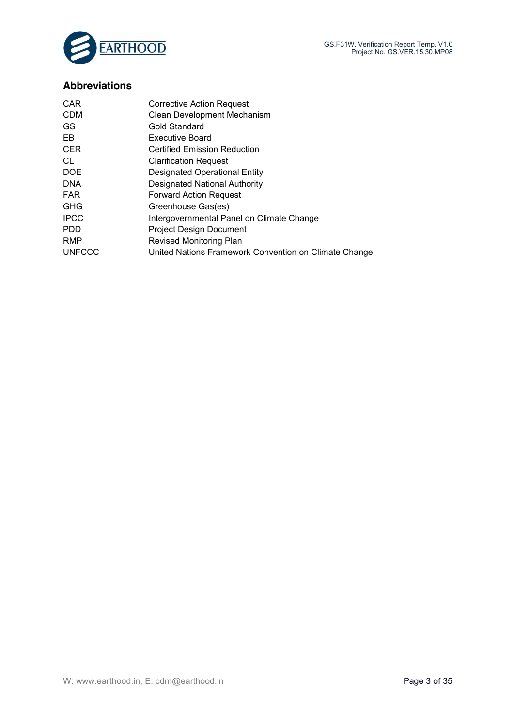

## **Abbreviations**

| <b>CAR</b>    | Corrective Action Request                             |
|---------------|-------------------------------------------------------|
| <b>CDM</b>    | Clean Development Mechanism                           |
| GS.           | Gold Standard                                         |
| EB            | <b>Executive Board</b>                                |
| <b>CER</b>    | Certified Emission Reduction                          |
| CL            | <b>Clarification Request</b>                          |
| DOE           | Designated Operational Entity                         |
| <b>DNA</b>    | <b>Designated National Authority</b>                  |
| <b>FAR</b>    | <b>Forward Action Request</b>                         |
| <b>GHG</b>    | Greenhouse Gas(es)                                    |
| <b>IPCC</b>   | Intergovernmental Panel on Climate Change             |
| <b>PDD</b>    | <b>Project Design Document</b>                        |
| <b>RMP</b>    | <b>Revised Monitoring Plan</b>                        |
| <b>UNFCCC</b> | United Nations Framework Convention on Climate Change |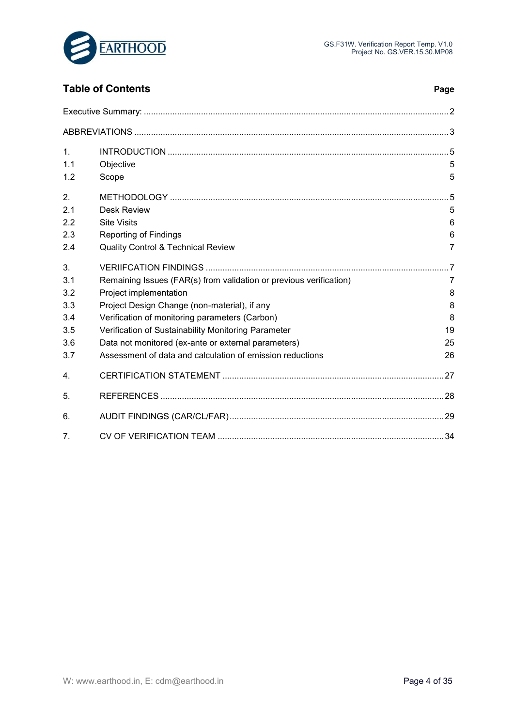

## **Table of Contents Page**

| 1.         |                                                                    |        |
|------------|--------------------------------------------------------------------|--------|
| 1.1<br>1.2 | Objective<br>Scope                                                 | 5<br>5 |
| 2.         |                                                                    | - 5    |
| 2.1        | Desk Review                                                        | 5      |
| 2.2        | <b>Site Visits</b>                                                 | 6      |
| 2.3        | Reporting of Findings                                              | 6      |
| 2.4        | Quality Control & Technical Review                                 | 7      |
| 3.         |                                                                    |        |
| 3.1        | Remaining Issues (FAR(s) from validation or previous verification) | 7      |
| 3.2        | Project implementation                                             | 8      |
| 3.3        | Project Design Change (non-material), if any                       | 8      |
| 3.4        | Verification of monitoring parameters (Carbon)                     | 8      |
| 3.5        | Verification of Sustainability Monitoring Parameter                | 19     |
| 3.6        | Data not monitored (ex-ante or external parameters)                | 25     |
| 3.7        | Assessment of data and calculation of emission reductions          | 26     |
| 4.         |                                                                    |        |
| 5.         |                                                                    | 28     |
| 6.         |                                                                    |        |
| 7.         |                                                                    |        |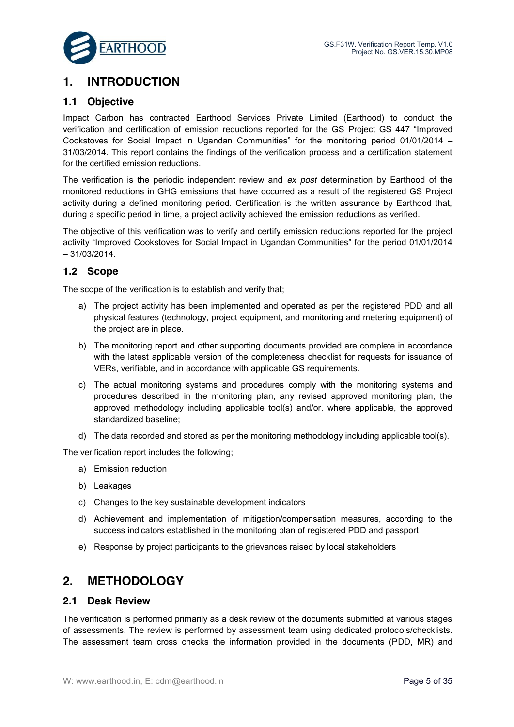

## **1. INTRODUCTION**

#### **1.1 Objective**

Impact Carbon has contracted Earthood Services Private Limited (Earthood) to conduct the verification and certification of emission reductions reported for the GS Project GS 447 "Improved Cookstoves for Social Impact in Ugandan Communities" for the monitoring period 01/01/2014 – 31/03/2014. This report contains the findings of the verification process and a certification statement for the certified emission reductions.

The verification is the periodic independent review and *ex post* determination by Earthood of the monitored reductions in GHG emissions that have occurred as a result of the registered GS Project activity during a defined monitoring period. Certification is the written assurance by Earthood that, during a specific period in time, a project activity achieved the emission reductions as verified.

The objective of this verification was to verify and certify emission reductions reported for the project activity "Improved Cookstoves for Social Impact in Ugandan Communities" for the period 01/01/2014 – 31/03/2014.

### **1.2 Scope**

The scope of the verification is to establish and verify that;

- a) The project activity has been implemented and operated as per the registered PDD and all physical features (technology, project equipment, and monitoring and metering equipment) of the project are in place.
- b) The monitoring report and other supporting documents provided are complete in accordance with the latest applicable version of the completeness checklist for requests for issuance of VERs, verifiable, and in accordance with applicable GS requirements.
- c) The actual monitoring systems and procedures comply with the monitoring systems and procedures described in the monitoring plan, any revised approved monitoring plan, the approved methodology including applicable tool(s) and/or, where applicable, the approved standardized baseline;
- d) The data recorded and stored as per the monitoring methodology including applicable tool(s).

The verification report includes the following;

- a) Emission reduction
- b) Leakages
- c) Changes to the key sustainable development indicators
- d) Achievement and implementation of mitigation/compensation measures, according to the success indicators established in the monitoring plan of registered PDD and passport
- e) Response by project participants to the grievances raised by local stakeholders

## **2. METHODOLOGY**

#### **2.1 Desk Review**

The verification is performed primarily as a desk review of the documents submitted at various stages of assessments. The review is performed by assessment team using dedicated protocols/checklists. The assessment team cross checks the information provided in the documents (PDD, MR) and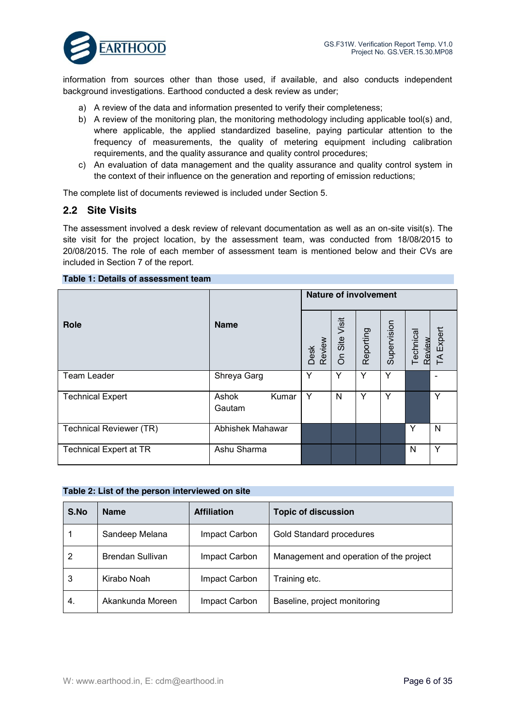

information from sources other than those used, if available, and also conducts independent background investigations. Earthood conducted a desk review as under;

- a) A review of the data and information presented to verify their completeness;
- b) A review of the monitoring plan, the monitoring methodology including applicable tool(s) and, where applicable, the applied standardized baseline, paying particular attention to the frequency of measurements, the quality of metering equipment including calibration requirements, and the quality assurance and quality control procedures;
- c) An evaluation of data management and the quality assurance and quality control system in the context of their influence on the generation and reporting of emission reductions;

The complete list of documents reviewed is included under Section 5.

#### **2.2 Site Visits**

The assessment involved a desk review of relevant documentation as well as an on-site visit(s). The site visit for the project location, by the assessment team, was conducted from 18/08/2015 to 20/08/2015. The role of each member of assessment team is mentioned below and their CVs are included in Section 7 of the report.

#### **Table 1: Details of assessment team**

|                               |                          |                | <b>Nature of involvement</b> |           |             |                     |           |  |
|-------------------------------|--------------------------|----------------|------------------------------|-----------|-------------|---------------------|-----------|--|
| Role                          | <b>Name</b>              | Desk<br>Review | Visit<br>On Site             | Reporting | Supervision | Technical<br>Review | TA Expert |  |
| <b>Team Leader</b>            | Shreya Garg              | Y              | Y                            | Y         | Y           |                     |           |  |
| <b>Technical Expert</b>       | Ashok<br>Kumar<br>Gautam | Y              | N                            | Y         | Y           |                     | Υ         |  |
| Technical Reviewer (TR)       | Abhishek Mahawar         |                |                              |           |             | Y                   | N         |  |
| <b>Technical Expert at TR</b> | Ashu Sharma              |                |                              |           |             | N                   | Υ         |  |

| Table 2: List of the person interviewed on site |
|-------------------------------------------------|
|-------------------------------------------------|

| S.No | <b>Name</b>      | <b>Affiliation</b><br><b>Topic of discussion</b> |                                         |
|------|------------------|--------------------------------------------------|-----------------------------------------|
|      | Sandeep Melana   | Impact Carbon                                    | Gold Standard procedures                |
| 2    | Brendan Sullivan | Impact Carbon                                    | Management and operation of the project |
| 3    | Kirabo Noah      | Impact Carbon                                    | Training etc.                           |
| 4.   | Akankunda Moreen | Impact Carbon                                    | Baseline, project monitoring            |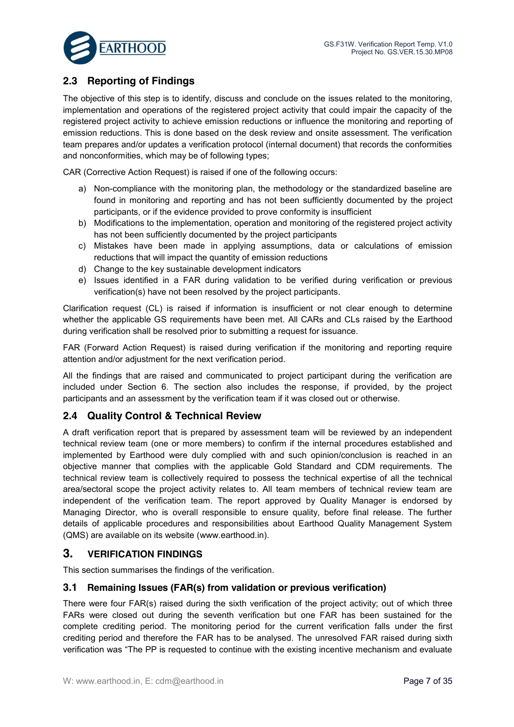

## **2.3 Reporting of Findings**

The objective of this step is to identify, discuss and conclude on the issues related to the monitoring, implementation and operations of the registered project activity that could impair the capacity of the registered project activity to achieve emission reductions or influence the monitoring and reporting of emission reductions. This is done based on the desk review and onsite assessment. The verification team prepares and/or updates a verification protocol (internal document) that records the conformities and nonconformities, which may be of following types;

CAR (Corrective Action Request) is raised if one of the following occurs:

- a) Non-compliance with the monitoring plan, the methodology or the standardized baseline are found in monitoring and reporting and has not been sufficiently documented by the project participants, or if the evidence provided to prove conformity is insufficient
- b) Modifications to the implementation, operation and monitoring of the registered project activity has not been sufficiently documented by the project participants
- c) Mistakes have been made in applying assumptions, data or calculations of emission reductions that will impact the quantity of emission reductions
- d) Change to the key sustainable development indicators
- e) Issues identified in a FAR during validation to be verified during verification or previous verification(s) have not been resolved by the project participants.

Clarification request (CL) is raised if information is insufficient or not clear enough to determine whether the applicable GS requirements have been met. All CARs and CLs raised by the Earthood during verification shall be resolved prior to submitting a request for issuance.

FAR (Forward Action Request) is raised during verification if the monitoring and reporting require attention and/or adjustment for the next verification period.

All the findings that are raised and communicated to project participant during the verification are included under Section 6. The section also includes the response, if provided, by the project participants and an assessment by the verification team if it was closed out or otherwise.

## **2.4 Quality Control & Technical Review**

A draft verification report that is prepared by assessment team will be reviewed by an independent technical review team (one or more members) to confirm if the internal procedures established and implemented by Earthood were duly complied with and such opinion/conclusion is reached in an objective manner that complies with the applicable Gold Standard and CDM requirements. The technical review team is collectively required to possess the technical expertise of all the technical area/sectoral scope the project activity relates to. All team members of technical review team are independent of the verification team. The report approved by Quality Manager is endorsed by Managing Director, who is overall responsible to ensure quality, before final release. The further details of applicable procedures and responsibilities about Earthood Quality Management System (QMS) are available on its website (www.earthood.in).

## **3. VERIFICATION FINDINGS**

This section summarises the findings of the verification.

#### **3.1 Remaining Issues (FAR(s) from validation or previous verification)**

There were four FAR(s) raised during the sixth verification of the project activity; out of which three FARs were closed out during the seventh verification but one FAR has been sustained for the complete crediting period. The monitoring period for the current verification falls under the first crediting period and therefore the FAR has to be analysed. The unresolved FAR raised during sixth verification was "The PP is requested to continue with the existing incentive mechanism and evaluate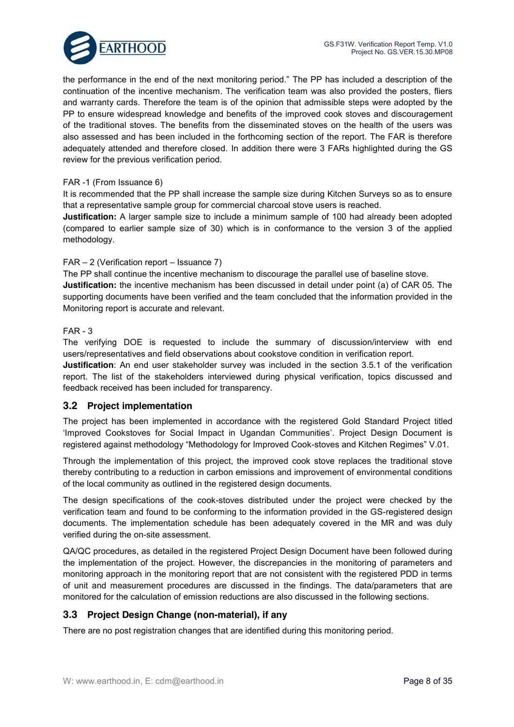the performance in the end of the next monitoring period." The PP has included a description of the continuation of the incentive mechanism. The verification team was also provided the posters, fliers and warranty cards. Therefore the team is of the opinion that admissible steps were adopted by the PP to ensure widespread knowledge and benefits of the improved cook stoves and discouragement of the traditional stoves. The benefits from the disseminated stoves on the health of the users was also assessed and has been included in the forthcoming section of the report. The FAR is therefore adequately attended and therefore closed. In addition there were 3 FARs highlighted during the GS review for the previous verification period.

#### FAR -1 (From Issuance 6)

It is recommended that the PP shall increase the sample size during Kitchen Surveys so as to ensure that a representative sample group for commercial charcoal stove users is reached.

**Justification:** A larger sample size to include a minimum sample of 100 had already been adopted (compared to earlier sample size of 30) which is in conformance to the version 3 of the applied methodology.

#### FAR – 2 (Verification report – Issuance 7)

The PP shall continue the incentive mechanism to discourage the parallel use of baseline stove. **Justification:** the incentive mechanism has been discussed in detail under point (a) of CAR 05. The supporting documents have been verified and the team concluded that the information provided in the Monitoring report is accurate and relevant.

#### FAR - 3

The verifying DOE is requested to include the summary of discussion/interview with end users/representatives and field observations about cookstove condition in verification report.

**Justification**: An end user stakeholder survey was included in the section 3.5.1 of the verification report. The list of the stakeholders interviewed during physical verification, topics discussed and feedback received has been included for transparency.

#### **3.2 Project implementation**

The project has been implemented in accordance with the registered Gold Standard Project titled 'Improved Cookstoves for Social Impact in Ugandan Communities'. Project Design Document is registered against methodology "Methodology for Improved Cook-stoves and Kitchen Regimes" V.01.

Through the implementation of this project, the improved cook stove replaces the traditional stove thereby contributing to a reduction in carbon emissions and improvement of environmental conditions of the local community as outlined in the registered design documents.

The design specifications of the cook-stoves distributed under the project were checked by the verification team and found to be conforming to the information provided in the GS-registered design documents. The implementation schedule has been adequately covered in the MR and was duly verified during the on-site assessment.

QA/QC procedures, as detailed in the registered Project Design Document have been followed during the implementation of the project. However, the discrepancies in the monitoring of parameters and monitoring approach in the monitoring report that are not consistent with the registered PDD in terms of unit and measurement procedures are discussed in the findings. The data/parameters that are monitored for the calculation of emission reductions are also discussed in the following sections.

#### **3.3 Project Design Change (non-material), if any**

There are no post registration changes that are identified during this monitoring period.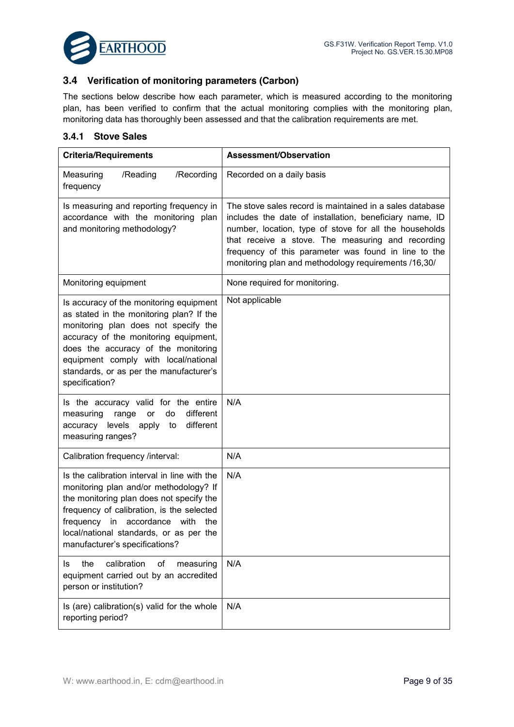

### **3.4 Verification of monitoring parameters (Carbon)**

The sections below describe how each parameter, which is measured according to the monitoring plan, has been verified to confirm that the actual monitoring complies with the monitoring plan, monitoring data has thoroughly been assessed and that the calibration requirements are met.

#### **3.4.1 Stove Sales**

| <b>Criteria/Requirements</b>                                                                                                                                                                                                                                                                                     | Assessment/Observation                                                                                                                                                                                                                                                                                                                             |
|------------------------------------------------------------------------------------------------------------------------------------------------------------------------------------------------------------------------------------------------------------------------------------------------------------------|----------------------------------------------------------------------------------------------------------------------------------------------------------------------------------------------------------------------------------------------------------------------------------------------------------------------------------------------------|
| /Recording<br>Measuring<br>/Reading<br>frequency                                                                                                                                                                                                                                                                 | Recorded on a daily basis                                                                                                                                                                                                                                                                                                                          |
| Is measuring and reporting frequency in<br>accordance with the monitoring plan<br>and monitoring methodology?                                                                                                                                                                                                    | The stove sales record is maintained in a sales database<br>includes the date of installation, beneficiary name, ID<br>number, location, type of stove for all the households<br>that receive a stove. The measuring and recording<br>frequency of this parameter was found in line to the<br>monitoring plan and methodology requirements /16,30/ |
| Monitoring equipment                                                                                                                                                                                                                                                                                             | None required for monitoring.                                                                                                                                                                                                                                                                                                                      |
| Is accuracy of the monitoring equipment<br>as stated in the monitoring plan? If the<br>monitoring plan does not specify the<br>accuracy of the monitoring equipment,<br>does the accuracy of the monitoring<br>equipment comply with local/national<br>standards, or as per the manufacturer's<br>specification? | Not applicable                                                                                                                                                                                                                                                                                                                                     |
| Is the accuracy valid for the entire<br>different<br>do<br>measuring<br>range<br>or<br>accuracy levels apply to<br>different<br>measuring ranges?                                                                                                                                                                | N/A                                                                                                                                                                                                                                                                                                                                                |
| Calibration frequency /interval:                                                                                                                                                                                                                                                                                 | N/A                                                                                                                                                                                                                                                                                                                                                |
| Is the calibration interval in line with the<br>monitoring plan and/or methodology? If<br>the monitoring plan does not specify the<br>frequency of calibration, is the selected<br>frequency in accordance<br>with the<br>local/national standards, or as per the<br>manufacturer's specifications?              | N/A                                                                                                                                                                                                                                                                                                                                                |
| calibration<br>the<br>of<br>measuring<br>Is<br>equipment carried out by an accredited<br>person or institution?                                                                                                                                                                                                  | N/A                                                                                                                                                                                                                                                                                                                                                |
| Is (are) calibration(s) valid for the whole<br>reporting period?                                                                                                                                                                                                                                                 | N/A                                                                                                                                                                                                                                                                                                                                                |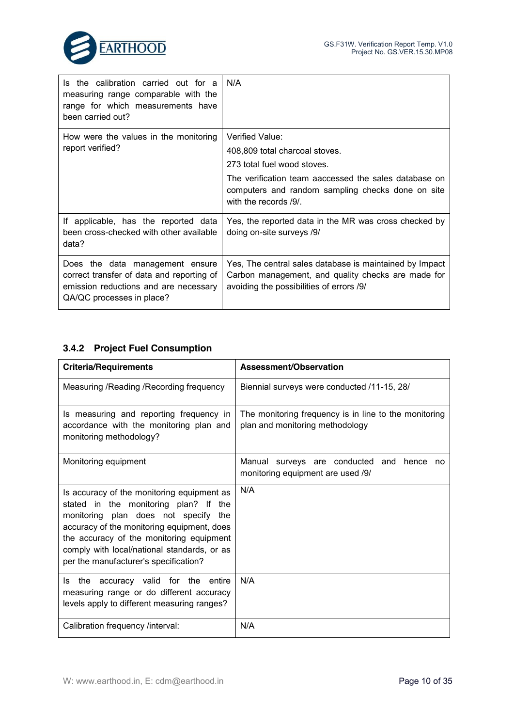

| Is the calibration carried out for a<br>measuring range comparable with the<br>range for which measurements have<br>been carried out?              | N/A                                                                                                                                                                                                                     |
|----------------------------------------------------------------------------------------------------------------------------------------------------|-------------------------------------------------------------------------------------------------------------------------------------------------------------------------------------------------------------------------|
| How were the values in the monitoring<br>report verified?                                                                                          | Verified Value:<br>408,809 total charcoal stoves.<br>273 total fuel wood stoves.<br>The verification team aaccessed the sales database on<br>computers and random sampling checks done on site<br>with the records /9/. |
| If applicable, has the reported data<br>been cross-checked with other available<br>data?                                                           | Yes, the reported data in the MR was cross checked by<br>doing on-site surveys /9/                                                                                                                                      |
| Does the data management ensure<br>correct transfer of data and reporting of<br>emission reductions and are necessary<br>QA/QC processes in place? | Yes, The central sales database is maintained by Impact<br>Carbon management, and quality checks are made for<br>avoiding the possibilities of errors /9/                                                               |

## **3.4.2 Project Fuel Consumption**

| <b>Criteria/Requirements</b>                                                                                                                                                                                                                                                                                        | Assessment/Observation                                                                   |
|---------------------------------------------------------------------------------------------------------------------------------------------------------------------------------------------------------------------------------------------------------------------------------------------------------------------|------------------------------------------------------------------------------------------|
| Measuring / Reading / Recording frequency                                                                                                                                                                                                                                                                           | Biennial surveys were conducted /11-15, 28/                                              |
| Is measuring and reporting frequency in<br>accordance with the monitoring plan and<br>monitoring methodology?                                                                                                                                                                                                       | The monitoring frequency is in line to the monitoring<br>plan and monitoring methodology |
| Monitoring equipment                                                                                                                                                                                                                                                                                                | Manual surveys are conducted<br>and hence no<br>monitoring equipment are used /9/        |
| Is accuracy of the monitoring equipment as<br>stated in the monitoring plan? If<br>the<br>monitoring plan does not specify<br>the<br>accuracy of the monitoring equipment, does<br>the accuracy of the monitoring equipment<br>comply with local/national standards, or as<br>per the manufacturer's specification? | N/A                                                                                      |
| the accuracy valid for the entire<br>ls.<br>measuring range or do different accuracy<br>levels apply to different measuring ranges?                                                                                                                                                                                 | N/A                                                                                      |
| Calibration frequency /interval:                                                                                                                                                                                                                                                                                    | N/A                                                                                      |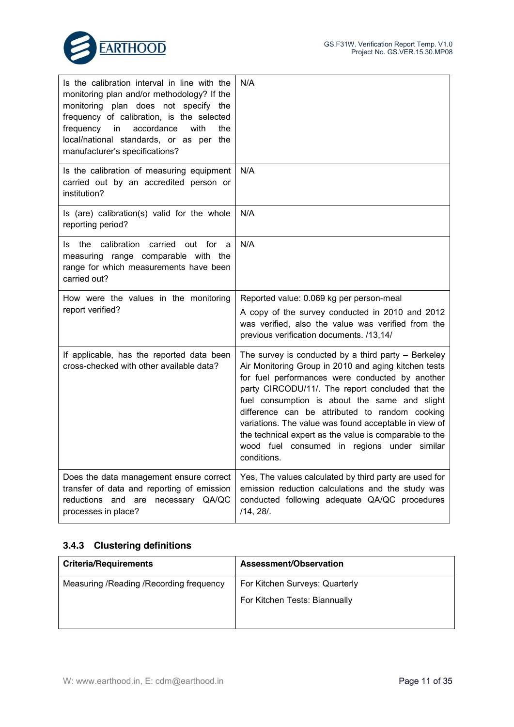

| Is the calibration interval in line with the<br>monitoring plan and/or methodology? If the<br>monitoring plan does not specify the<br>frequency of calibration, is the selected<br>frequency<br>accordance<br>with<br>the<br>in<br>local/national standards, or as per the<br>manufacturer's specifications? | N/A                                                                                                                                                                                                                                                                                                                                                                                                                                                                                                      |
|--------------------------------------------------------------------------------------------------------------------------------------------------------------------------------------------------------------------------------------------------------------------------------------------------------------|----------------------------------------------------------------------------------------------------------------------------------------------------------------------------------------------------------------------------------------------------------------------------------------------------------------------------------------------------------------------------------------------------------------------------------------------------------------------------------------------------------|
| Is the calibration of measuring equipment<br>carried out by an accredited person or<br>institution?                                                                                                                                                                                                          | N/A                                                                                                                                                                                                                                                                                                                                                                                                                                                                                                      |
| Is (are) calibration(s) valid for the whole<br>reporting period?                                                                                                                                                                                                                                             | N/A                                                                                                                                                                                                                                                                                                                                                                                                                                                                                                      |
| calibration<br>carried<br>the<br>out for<br>Is.<br>a<br>measuring range comparable with the<br>range for which measurements have been<br>carried out?                                                                                                                                                        | N/A                                                                                                                                                                                                                                                                                                                                                                                                                                                                                                      |
| How were the values in the monitoring<br>report verified?                                                                                                                                                                                                                                                    | Reported value: 0.069 kg per person-meal<br>A copy of the survey conducted in 2010 and 2012<br>was verified, also the value was verified from the<br>previous verification documents. /13,14/                                                                                                                                                                                                                                                                                                            |
| If applicable, has the reported data been<br>cross-checked with other available data?                                                                                                                                                                                                                        | The survey is conducted by a third party $-$ Berkeley<br>Air Monitoring Group in 2010 and aging kitchen tests<br>for fuel performances were conducted by another<br>party CIRCODU/11/. The report concluded that the<br>fuel consumption is about the same and slight<br>difference can be attributed to random cooking<br>variations. The value was found acceptable in view of<br>the technical expert as the value is comparable to the<br>wood fuel consumed in regions under similar<br>conditions. |
| Does the data management ensure correct<br>transfer of data and reporting of emission<br>reductions and<br>necessary QA/QC<br>are<br>processes in place?                                                                                                                                                     | Yes, The values calculated by third party are used for<br>emission reduction calculations and the study was<br>conducted following adequate QA/QC procedures<br>/14, 28/.                                                                                                                                                                                                                                                                                                                                |

### **3.4.3 Clustering definitions**

| <b>Criteria/Requirements</b>              | Assessment/Observation         |
|-------------------------------------------|--------------------------------|
| Measuring / Reading / Recording frequency | For Kitchen Surveys: Quarterly |
|                                           | For Kitchen Tests: Biannually  |
|                                           |                                |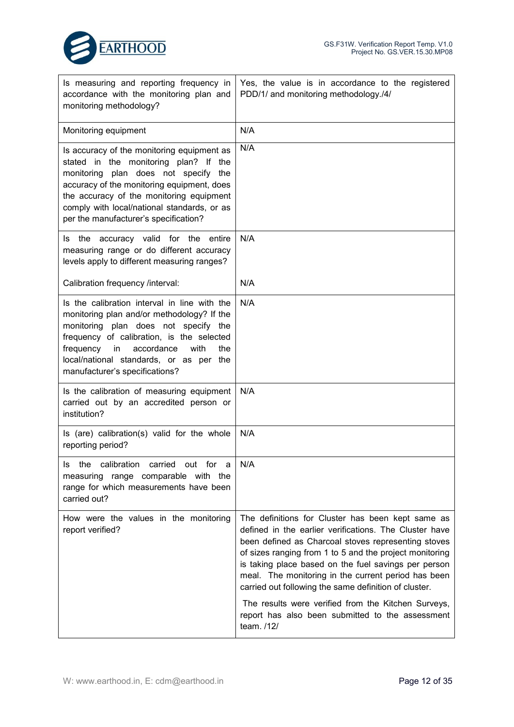| Is measuring and reporting frequency in<br>accordance with the monitoring plan and<br>monitoring methodology?                                                                                                                                                                                                    | Yes, the value is in accordance to the registered<br>PDD/1/ and monitoring methodology./4/                                                                                                                                                                                                                                                                                                                                                                                                                                     |
|------------------------------------------------------------------------------------------------------------------------------------------------------------------------------------------------------------------------------------------------------------------------------------------------------------------|--------------------------------------------------------------------------------------------------------------------------------------------------------------------------------------------------------------------------------------------------------------------------------------------------------------------------------------------------------------------------------------------------------------------------------------------------------------------------------------------------------------------------------|
| Monitoring equipment                                                                                                                                                                                                                                                                                             | N/A                                                                                                                                                                                                                                                                                                                                                                                                                                                                                                                            |
| Is accuracy of the monitoring equipment as<br>stated in the monitoring plan? If<br>the<br>monitoring plan does not specify the<br>accuracy of the monitoring equipment, does<br>the accuracy of the monitoring equipment<br>comply with local/national standards, or as<br>per the manufacturer's specification? | N/A                                                                                                                                                                                                                                                                                                                                                                                                                                                                                                                            |
| the accuracy valid for the<br>entire<br>ls.<br>measuring range or do different accuracy<br>levels apply to different measuring ranges?                                                                                                                                                                           | N/A                                                                                                                                                                                                                                                                                                                                                                                                                                                                                                                            |
| Calibration frequency /interval:                                                                                                                                                                                                                                                                                 | N/A                                                                                                                                                                                                                                                                                                                                                                                                                                                                                                                            |
| Is the calibration interval in line with the<br>monitoring plan and/or methodology? If the<br>monitoring plan does not specify the<br>frequency of calibration, is the selected<br>frequency<br>accordance<br>with<br>in<br>the<br>local/national standards, or as per the<br>manufacturer's specifications?     | N/A                                                                                                                                                                                                                                                                                                                                                                                                                                                                                                                            |
| Is the calibration of measuring equipment<br>carried out by an accredited person or<br>institution?                                                                                                                                                                                                              | N/A                                                                                                                                                                                                                                                                                                                                                                                                                                                                                                                            |
| Is (are) calibration(s) valid for the whole<br>reporting period?                                                                                                                                                                                                                                                 | N/A                                                                                                                                                                                                                                                                                                                                                                                                                                                                                                                            |
| the calibration carried out for a<br>measuring range comparable with the<br>range for which measurements have been<br>carried out?                                                                                                                                                                               | N/A                                                                                                                                                                                                                                                                                                                                                                                                                                                                                                                            |
| How were the values in the monitoring<br>report verified?                                                                                                                                                                                                                                                        | The definitions for Cluster has been kept same as<br>defined in the earlier verifications. The Cluster have<br>been defined as Charcoal stoves representing stoves<br>of sizes ranging from 1 to 5 and the project monitoring<br>is taking place based on the fuel savings per person<br>meal. The monitoring in the current period has been<br>carried out following the same definition of cluster.<br>The results were verified from the Kitchen Surveys,<br>report has also been submitted to the assessment<br>team. /12/ |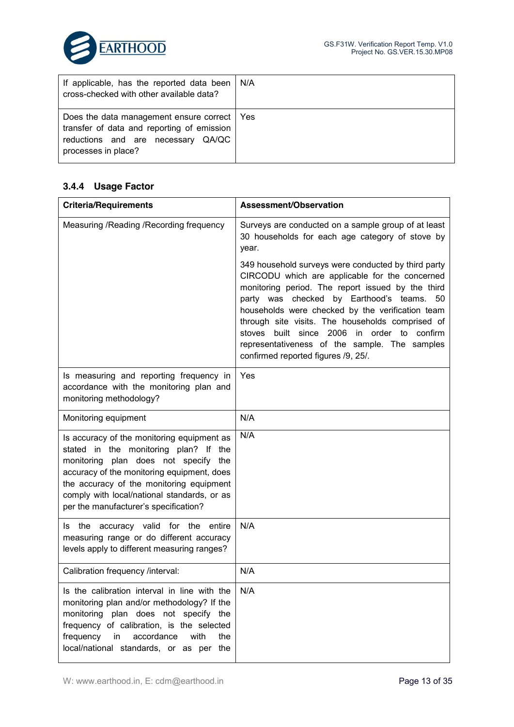

| If applicable, has the reported data been   N/A<br>cross-checked with other available data?                                                              |  |
|----------------------------------------------------------------------------------------------------------------------------------------------------------|--|
| Does the data management ensure correct   Yes<br>transfer of data and reporting of emission<br>reductions and are necessary QA/QC<br>processes in place? |  |

## **3.4.4 Usage Factor**

| <b>Criteria/Requirements</b>                                                                                                                                                                                                                                                                                  | Assessment/Observation                                                                                                                                                                                                                                                                                                                                                                                                                                             |
|---------------------------------------------------------------------------------------------------------------------------------------------------------------------------------------------------------------------------------------------------------------------------------------------------------------|--------------------------------------------------------------------------------------------------------------------------------------------------------------------------------------------------------------------------------------------------------------------------------------------------------------------------------------------------------------------------------------------------------------------------------------------------------------------|
| Measuring / Reading / Recording frequency                                                                                                                                                                                                                                                                     | Surveys are conducted on a sample group of at least<br>30 households for each age category of stove by<br>year.                                                                                                                                                                                                                                                                                                                                                    |
|                                                                                                                                                                                                                                                                                                               | 349 household surveys were conducted by third party<br>CIRCODU which are applicable for the concerned<br>monitoring period. The report issued by the third<br>party was checked by Earthood's teams. 50<br>households were checked by the verification team<br>through site visits. The households comprised of<br>built since 2006<br>in<br>order to<br>stoves<br>confirm<br>representativeness of the sample. The samples<br>confirmed reported figures /9, 25/. |
| Is measuring and reporting frequency in<br>accordance with the monitoring plan and<br>monitoring methodology?                                                                                                                                                                                                 | Yes                                                                                                                                                                                                                                                                                                                                                                                                                                                                |
| Monitoring equipment                                                                                                                                                                                                                                                                                          | N/A                                                                                                                                                                                                                                                                                                                                                                                                                                                                |
| Is accuracy of the monitoring equipment as<br>stated in the monitoring plan? If the<br>monitoring plan does not specify the<br>accuracy of the monitoring equipment, does<br>the accuracy of the monitoring equipment<br>comply with local/national standards, or as<br>per the manufacturer's specification? | N/A                                                                                                                                                                                                                                                                                                                                                                                                                                                                |
| the accuracy valid for the<br>entire<br>ls<br>measuring range or do different accuracy<br>levels apply to different measuring ranges?                                                                                                                                                                         | N/A                                                                                                                                                                                                                                                                                                                                                                                                                                                                |
| Calibration frequency /interval:                                                                                                                                                                                                                                                                              | N/A                                                                                                                                                                                                                                                                                                                                                                                                                                                                |
| Is the calibration interval in line with the<br>monitoring plan and/or methodology? If the<br>monitoring plan does not specify the<br>frequency of calibration, is the selected<br>frequency<br>in<br>accordance<br>with<br>the<br>local/national standards, or as per the                                    | N/A                                                                                                                                                                                                                                                                                                                                                                                                                                                                |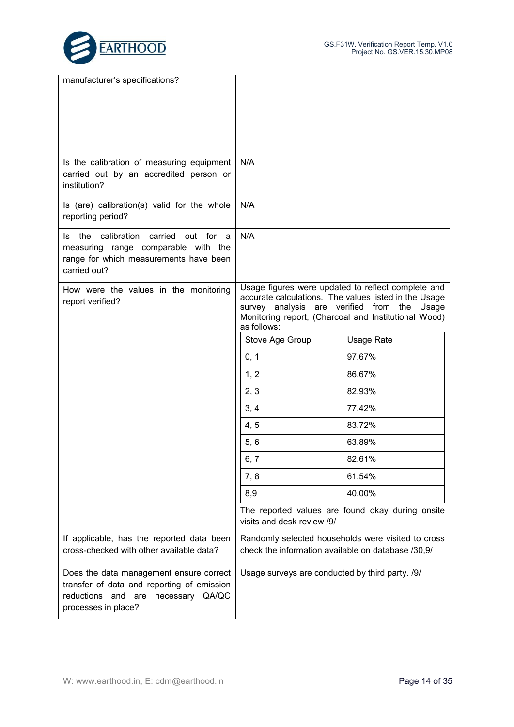

| manufacturer's specifications?                                                                                                                     |                                                      |                                                                                                                                                                              |
|----------------------------------------------------------------------------------------------------------------------------------------------------|------------------------------------------------------|------------------------------------------------------------------------------------------------------------------------------------------------------------------------------|
| Is the calibration of measuring equipment<br>carried out by an accredited person or<br>institution?                                                | N/A                                                  |                                                                                                                                                                              |
| Is (are) calibration(s) valid for the whole<br>reporting period?                                                                                   | N/A                                                  |                                                                                                                                                                              |
| Is the calibration carried<br>out for a<br>measuring range comparable with the<br>range for which measurements have been<br>carried out?           | N/A                                                  |                                                                                                                                                                              |
| How were the values in the monitoring<br>report verified?                                                                                          | survey analysis are verified from the<br>as follows: | Usage figures were updated to reflect complete and<br>accurate calculations. The values listed in the Usage<br>Usage<br>Monitoring report, (Charcoal and Institutional Wood) |
|                                                                                                                                                    | Stove Age Group                                      | <b>Usage Rate</b>                                                                                                                                                            |
|                                                                                                                                                    | 0, 1                                                 | 97.67%                                                                                                                                                                       |
|                                                                                                                                                    | 1, 2                                                 | 86.67%                                                                                                                                                                       |
|                                                                                                                                                    | 2, 3                                                 | 82.93%                                                                                                                                                                       |
|                                                                                                                                                    | 3, 4                                                 | 77.42%                                                                                                                                                                       |
|                                                                                                                                                    | 4, 5                                                 | 83.72%                                                                                                                                                                       |
|                                                                                                                                                    | 5, 6                                                 | 63.89%                                                                                                                                                                       |
|                                                                                                                                                    | 6, 7                                                 | 82.61%                                                                                                                                                                       |
|                                                                                                                                                    | 7, 8                                                 | 61.54%                                                                                                                                                                       |
|                                                                                                                                                    | 8,9                                                  | 40.00%                                                                                                                                                                       |
|                                                                                                                                                    | visits and desk review /9/                           | The reported values are found okay during onsite                                                                                                                             |
| If applicable, has the reported data been<br>cross-checked with other available data?                                                              | check the information available on database /30,9/   | Randomly selected households were visited to cross                                                                                                                           |
| Does the data management ensure correct<br>transfer of data and reporting of emission<br>reductions and are necessary QA/QC<br>processes in place? | Usage surveys are conducted by third party. /9/      |                                                                                                                                                                              |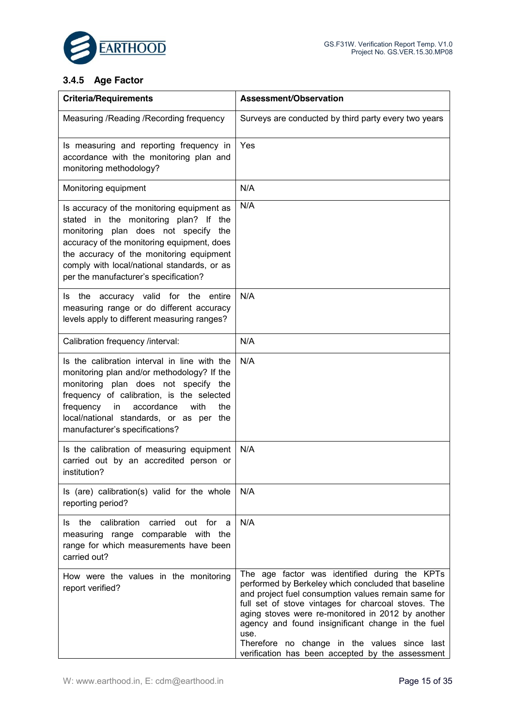

## **3.4.5 Age Factor**

| <b>Criteria/Requirements</b>                                                                                                                                                                                                                                                                                  | Assessment/Observation                                                                                                                                                                                                                                                                                                                                                                                                                   |
|---------------------------------------------------------------------------------------------------------------------------------------------------------------------------------------------------------------------------------------------------------------------------------------------------------------|------------------------------------------------------------------------------------------------------------------------------------------------------------------------------------------------------------------------------------------------------------------------------------------------------------------------------------------------------------------------------------------------------------------------------------------|
| Measuring / Reading / Recording frequency                                                                                                                                                                                                                                                                     | Surveys are conducted by third party every two years                                                                                                                                                                                                                                                                                                                                                                                     |
| Is measuring and reporting frequency in<br>accordance with the monitoring plan and<br>monitoring methodology?                                                                                                                                                                                                 | Yes                                                                                                                                                                                                                                                                                                                                                                                                                                      |
| Monitoring equipment                                                                                                                                                                                                                                                                                          | N/A                                                                                                                                                                                                                                                                                                                                                                                                                                      |
| Is accuracy of the monitoring equipment as<br>stated in the monitoring plan? If the<br>monitoring plan does not specify the<br>accuracy of the monitoring equipment, does<br>the accuracy of the monitoring equipment<br>comply with local/national standards, or as<br>per the manufacturer's specification? | N/A                                                                                                                                                                                                                                                                                                                                                                                                                                      |
| Is the accuracy valid for the<br>entire<br>measuring range or do different accuracy<br>levels apply to different measuring ranges?                                                                                                                                                                            | N/A                                                                                                                                                                                                                                                                                                                                                                                                                                      |
| Calibration frequency /interval:                                                                                                                                                                                                                                                                              | N/A                                                                                                                                                                                                                                                                                                                                                                                                                                      |
| Is the calibration interval in line with the<br>monitoring plan and/or methodology? If the<br>monitoring plan does not specify the<br>frequency of calibration, is the selected<br>frequency<br>accordance<br>with<br>the<br>in<br>local/national standards, or as per the<br>manufacturer's specifications?  | N/A                                                                                                                                                                                                                                                                                                                                                                                                                                      |
| Is the calibration of measuring equipment<br>carried out by an accredited person or<br>institution?                                                                                                                                                                                                           | N/A                                                                                                                                                                                                                                                                                                                                                                                                                                      |
| Is (are) calibration(s) valid for the whole<br>reporting period?                                                                                                                                                                                                                                              | N/A                                                                                                                                                                                                                                                                                                                                                                                                                                      |
| Is the calibration carried<br>out for a<br>measuring range comparable with the<br>range for which measurements have been<br>carried out?                                                                                                                                                                      | N/A                                                                                                                                                                                                                                                                                                                                                                                                                                      |
| How were the values in the monitoring<br>report verified?                                                                                                                                                                                                                                                     | The age factor was identified during the KPTs<br>performed by Berkeley which concluded that baseline<br>and project fuel consumption values remain same for<br>full set of stove vintages for charcoal stoves. The<br>aging stoves were re-monitored in 2012 by another<br>agency and found insignificant change in the fuel<br>use.<br>Therefore no change in the values since last<br>verification has been accepted by the assessment |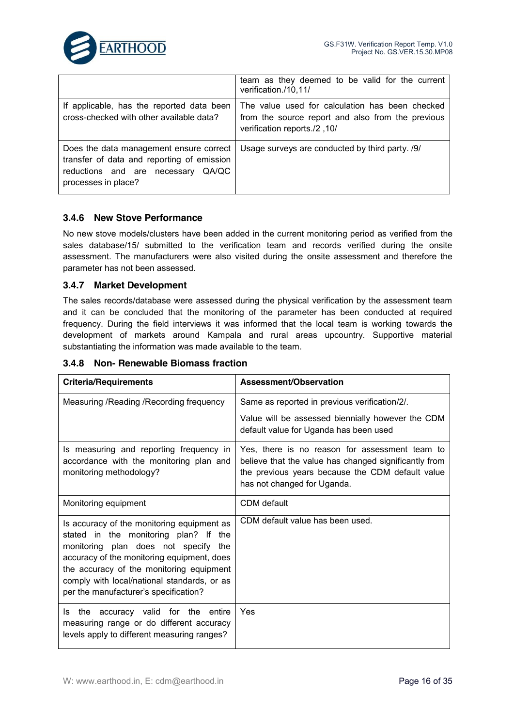

|                                                                                                                                                    | team as they deemed to be valid for the current<br>verification./10,11/                                                              |
|----------------------------------------------------------------------------------------------------------------------------------------------------|--------------------------------------------------------------------------------------------------------------------------------------|
| If applicable, has the reported data been<br>cross-checked with other available data?                                                              | The value used for calculation has been checked<br>from the source report and also from the previous<br>verification reports./2, 10/ |
| Does the data management ensure correct<br>transfer of data and reporting of emission<br>reductions and are necessary QA/QC<br>processes in place? | Usage surveys are conducted by third party. /9/                                                                                      |

#### **3.4.6 New Stove Performance**

No new stove models/clusters have been added in the current monitoring period as verified from the sales database/15/ submitted to the verification team and records verified during the onsite assessment. The manufacturers were also visited during the onsite assessment and therefore the parameter has not been assessed.

#### **3.4.7 Market Development**

The sales records/database were assessed during the physical verification by the assessment team and it can be concluded that the monitoring of the parameter has been conducted at required frequency. During the field interviews it was informed that the local team is working towards the development of markets around Kampala and rural areas upcountry. Supportive material substantiating the information was made available to the team.

| <b>Criteria/Requirements</b>                                                                                                                                                                                                                                                                                  | Assessment/Observation                                                                                                                                                                     |
|---------------------------------------------------------------------------------------------------------------------------------------------------------------------------------------------------------------------------------------------------------------------------------------------------------------|--------------------------------------------------------------------------------------------------------------------------------------------------------------------------------------------|
| Measuring / Reading / Recording frequency                                                                                                                                                                                                                                                                     | Same as reported in previous verification/2/.                                                                                                                                              |
|                                                                                                                                                                                                                                                                                                               | Value will be assessed biennially however the CDM<br>default value for Uganda has been used                                                                                                |
| Is measuring and reporting frequency in<br>accordance with the monitoring plan and<br>monitoring methodology?                                                                                                                                                                                                 | Yes, there is no reason for assessment team to<br>believe that the value has changed significantly from<br>the previous years because the CDM default value<br>has not changed for Uganda. |
| Monitoring equipment                                                                                                                                                                                                                                                                                          | CDM default                                                                                                                                                                                |
| Is accuracy of the monitoring equipment as<br>stated in the monitoring plan? If the<br>monitoring plan does not specify the<br>accuracy of the monitoring equipment, does<br>the accuracy of the monitoring equipment<br>comply with local/national standards, or as<br>per the manufacturer's specification? | CDM default value has been used.                                                                                                                                                           |
| the accuracy valid for the entire<br>Is<br>measuring range or do different accuracy<br>levels apply to different measuring ranges?                                                                                                                                                                            | Yes                                                                                                                                                                                        |

#### **3.4.8 Non- Renewable Biomass fraction**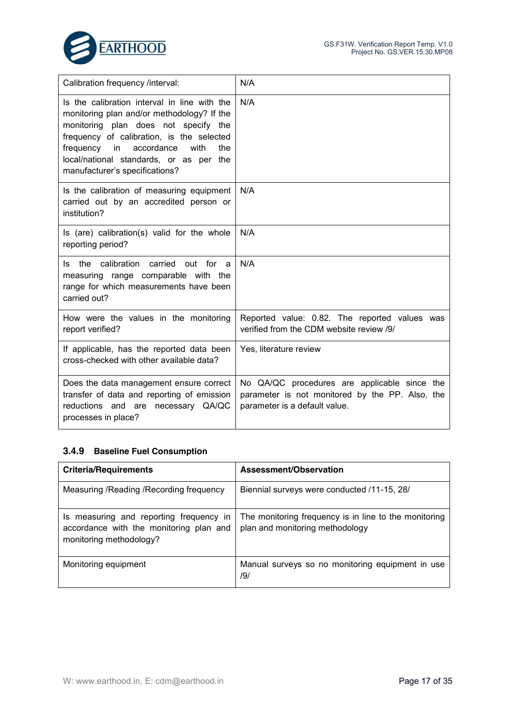

| Calibration frequency /interval:                                                                                                                                                                                                                                                                             | N/A                                                                                                                              |
|--------------------------------------------------------------------------------------------------------------------------------------------------------------------------------------------------------------------------------------------------------------------------------------------------------------|----------------------------------------------------------------------------------------------------------------------------------|
| Is the calibration interval in line with the<br>monitoring plan and/or methodology? If the<br>monitoring plan does not specify the<br>frequency of calibration, is the selected<br>frequency<br>accordance<br>with<br>the<br>in<br>local/national standards, or as per the<br>manufacturer's specifications? | N/A                                                                                                                              |
| Is the calibration of measuring equipment<br>carried out by an accredited person or<br>institution?                                                                                                                                                                                                          | N/A                                                                                                                              |
| Is (are) calibration(s) valid for the whole<br>reporting period?                                                                                                                                                                                                                                             | N/A                                                                                                                              |
| calibration carried<br>the<br>out for<br>ls.<br>a<br>measuring range comparable with the<br>range for which measurements have been<br>carried out?                                                                                                                                                           | N/A                                                                                                                              |
| How were the values in the monitoring<br>report verified?                                                                                                                                                                                                                                                    | Reported value: 0.82. The reported values was<br>verified from the CDM website review /9/                                        |
| If applicable, has the reported data been<br>cross-checked with other available data?                                                                                                                                                                                                                        | Yes, literature review                                                                                                           |
| Does the data management ensure correct<br>transfer of data and reporting of emission<br>reductions and are necessary QA/QC<br>processes in place?                                                                                                                                                           | No QA/QC procedures are applicable since the<br>parameter is not monitored by the PP. Also, the<br>parameter is a default value. |

#### **3.4.9 Baseline Fuel Consumption**

| <b>Criteria/Requirements</b>                                                                                  | Assessment/Observation                                                                   |
|---------------------------------------------------------------------------------------------------------------|------------------------------------------------------------------------------------------|
| Measuring / Reading / Recording frequency                                                                     | Biennial surveys were conducted /11-15, 28/                                              |
| Is measuring and reporting frequency in<br>accordance with the monitoring plan and<br>monitoring methodology? | The monitoring frequency is in line to the monitoring<br>plan and monitoring methodology |
| Monitoring equipment                                                                                          | Manual surveys so no monitoring equipment in use<br>/9/                                  |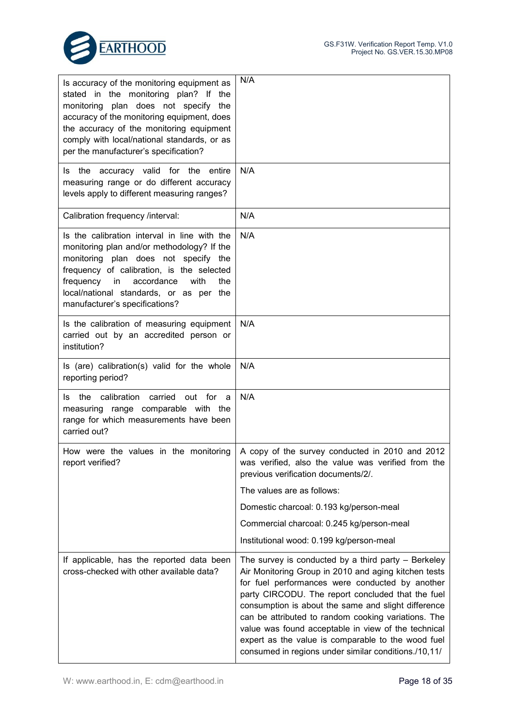



| Is accuracy of the monitoring equipment as<br>stated in the monitoring plan? If the<br>plan does not specify the<br>monitoring<br>accuracy of the monitoring equipment, does<br>the accuracy of the monitoring equipment<br>comply with local/national standards, or as<br>per the manufacturer's specification? | N/A                                                                                                                                                                                                                                                                                                                                                                                                                                                                                                      |
|------------------------------------------------------------------------------------------------------------------------------------------------------------------------------------------------------------------------------------------------------------------------------------------------------------------|----------------------------------------------------------------------------------------------------------------------------------------------------------------------------------------------------------------------------------------------------------------------------------------------------------------------------------------------------------------------------------------------------------------------------------------------------------------------------------------------------------|
| accuracy valid for the<br>the<br>Is<br>entire<br>measuring range or do different accuracy<br>levels apply to different measuring ranges?                                                                                                                                                                         | N/A                                                                                                                                                                                                                                                                                                                                                                                                                                                                                                      |
| Calibration frequency /interval:                                                                                                                                                                                                                                                                                 | N/A                                                                                                                                                                                                                                                                                                                                                                                                                                                                                                      |
| Is the calibration interval in line with the<br>monitoring plan and/or methodology? If the<br>monitoring plan does not specify the<br>frequency of calibration, is the selected<br>frequency<br>accordance<br>with<br>the<br>in<br>local/national standards, or as per the<br>manufacturer's specifications?     | N/A                                                                                                                                                                                                                                                                                                                                                                                                                                                                                                      |
| Is the calibration of measuring equipment<br>carried out by an accredited person or<br>institution?                                                                                                                                                                                                              | N/A                                                                                                                                                                                                                                                                                                                                                                                                                                                                                                      |
| Is (are) calibration(s) valid for the whole<br>reporting period?                                                                                                                                                                                                                                                 | N/A                                                                                                                                                                                                                                                                                                                                                                                                                                                                                                      |
| calibration<br>carried<br>the<br>out<br>for<br>ls.<br>a<br>measuring range comparable with the<br>range for which measurements have been<br>carried out?                                                                                                                                                         | N/A                                                                                                                                                                                                                                                                                                                                                                                                                                                                                                      |
| How were the values in the monitoring<br>report verified?                                                                                                                                                                                                                                                        | A copy of the survey conducted in 2010 and 2012<br>was verified, also the value was verified from the<br>previous verification documents/2/.                                                                                                                                                                                                                                                                                                                                                             |
|                                                                                                                                                                                                                                                                                                                  | The values are as follows:                                                                                                                                                                                                                                                                                                                                                                                                                                                                               |
|                                                                                                                                                                                                                                                                                                                  | Domestic charcoal: 0.193 kg/person-meal                                                                                                                                                                                                                                                                                                                                                                                                                                                                  |
|                                                                                                                                                                                                                                                                                                                  | Commercial charcoal: 0.245 kg/person-meal                                                                                                                                                                                                                                                                                                                                                                                                                                                                |
|                                                                                                                                                                                                                                                                                                                  | Institutional wood: 0.199 kg/person-meal                                                                                                                                                                                                                                                                                                                                                                                                                                                                 |
| If applicable, has the reported data been<br>cross-checked with other available data?                                                                                                                                                                                                                            | The survey is conducted by a third party $-$ Berkeley<br>Air Monitoring Group in 2010 and aging kitchen tests<br>for fuel performances were conducted by another<br>party CIRCODU. The report concluded that the fuel<br>consumption is about the same and slight difference<br>can be attributed to random cooking variations. The<br>value was found acceptable in view of the technical<br>expert as the value is comparable to the wood fuel<br>consumed in regions under similar conditions./10,11/ |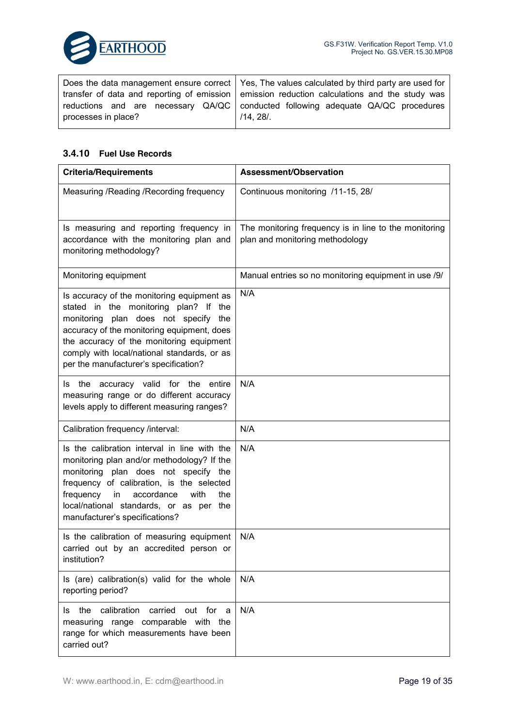

|                     | Does the data management ensure correct   Yes, The values calculated by third party are used for |
|---------------------|--------------------------------------------------------------------------------------------------|
|                     | transfer of data and reporting of emission emission reduction calculations and the study was     |
|                     | reductions and are necessary QA/QC   conducted following adequate QA/QC procedures               |
| processes in place? | /14, 28/                                                                                         |
|                     |                                                                                                  |

#### **3.4.10 Fuel Use Records**

| <b>Criteria/Requirements</b>                                                                                                                                                                                                                                                                                  | Assessment/Observation                                                                   |
|---------------------------------------------------------------------------------------------------------------------------------------------------------------------------------------------------------------------------------------------------------------------------------------------------------------|------------------------------------------------------------------------------------------|
| Measuring / Reading / Recording frequency                                                                                                                                                                                                                                                                     | Continuous monitoring /11-15, 28/                                                        |
| Is measuring and reporting frequency in<br>accordance with the monitoring plan and<br>monitoring methodology?                                                                                                                                                                                                 | The monitoring frequency is in line to the monitoring<br>plan and monitoring methodology |
| Monitoring equipment                                                                                                                                                                                                                                                                                          | Manual entries so no monitoring equipment in use /9/                                     |
| Is accuracy of the monitoring equipment as<br>stated in the monitoring plan? If the<br>monitoring plan does not specify the<br>accuracy of the monitoring equipment, does<br>the accuracy of the monitoring equipment<br>comply with local/national standards, or as<br>per the manufacturer's specification? | N/A                                                                                      |
| Is the accuracy valid for the<br>entire<br>measuring range or do different accuracy<br>levels apply to different measuring ranges?                                                                                                                                                                            | N/A                                                                                      |
| Calibration frequency /interval:                                                                                                                                                                                                                                                                              | N/A                                                                                      |
| Is the calibration interval in line with the<br>monitoring plan and/or methodology? If the<br>monitoring plan does not specify the<br>frequency of calibration, is the selected<br>frequency<br>accordance<br>with<br>the<br>in<br>local/national standards, or as per the<br>manufacturer's specifications?  | N/A                                                                                      |
| Is the calibration of measuring equipment<br>carried out by an accredited person or<br>institution?                                                                                                                                                                                                           | N/A                                                                                      |
| Is (are) calibration(s) valid for the whole<br>reporting period?                                                                                                                                                                                                                                              | N/A                                                                                      |
| Is the calibration<br>carried<br>out for a<br>measuring range comparable with the<br>range for which measurements have been<br>carried out?                                                                                                                                                                   | N/A                                                                                      |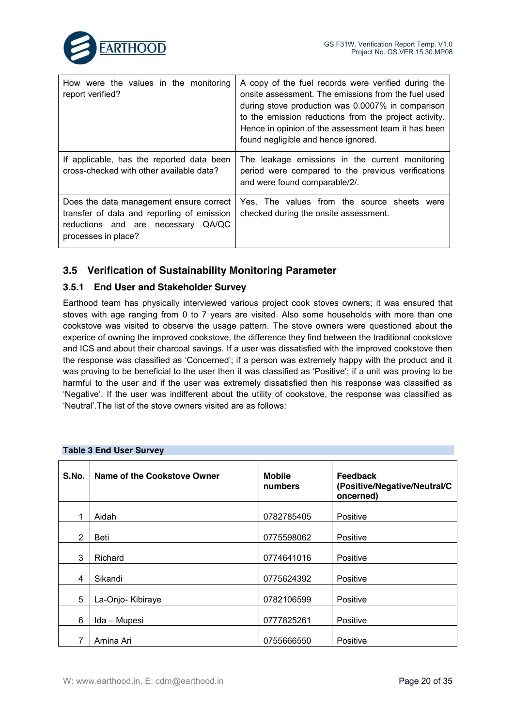

| How were the values in the monitoring<br>report verified?                                                                                          | A copy of the fuel records were verified during the<br>onsite assessment. The emissions from the fuel used<br>during stove production was 0.0007% in comparison<br>to the emission reductions from the project activity.<br>Hence in opinion of the assessment team it has been<br>found negligible and hence ignored. |
|----------------------------------------------------------------------------------------------------------------------------------------------------|------------------------------------------------------------------------------------------------------------------------------------------------------------------------------------------------------------------------------------------------------------------------------------------------------------------------|
| If applicable, has the reported data been<br>cross-checked with other available data?                                                              | The leakage emissions in the current monitoring<br>period were compared to the previous verifications<br>and were found comparable/2/.                                                                                                                                                                                 |
| Does the data management ensure correct<br>transfer of data and reporting of emission<br>reductions and are necessary QA/QC<br>processes in place? | Yes, The values from the source sheets were<br>checked during the onsite assessment.                                                                                                                                                                                                                                   |

## **3.5 Verification of Sustainability Monitoring Parameter**

### **3.5.1 End User and Stakeholder Survey**

Earthood team has physically interviewed various project cook stoves owners; it was ensured that stoves with age ranging from 0 to 7 years are visited. Also some households with more than one cookstove was visited to observe the usage pattern. The stove owners were questioned about the experice of owning the improved cookstove, the difference they find between the traditional cookstove and ICS and about their charcoal savings. If a user was dissatisfied with the improved cookstove then the response was classified as 'Concerned'; if a person was extremely happy with the product and it was proving to be beneficial to the user then it was classified as 'Positive'; if a unit was proving to be harmful to the user and if the user was extremely dissatisfied then his response was classified as 'Negative'. If the user was indifferent about the utility of cookstove, the response was classified as 'Neutral'.The list of the stove owners visited are as follows:

| S.No. | Name of the Cookstove Owner | <b>Mobile</b><br>numbers | <b>Feedback</b><br>(Positive/Negative/Neutral/C<br>oncerned) |
|-------|-----------------------------|--------------------------|--------------------------------------------------------------|
| 1     | Aidah                       | 0782785405               | Positive                                                     |
| 2     | Beti                        | 0775598062               | Positive                                                     |
| 3     | Richard                     | 0774641016               | Positive                                                     |
| 4     | Sikandi                     | 0775624392               | Positive                                                     |
| 5     | La-Onjo- Kibiraye           | 0782106599               | Positive                                                     |
| 6     | Ida - Mupesi                | 0777825261               | Positive                                                     |
| 7     | Amina Ari                   | 0755666550               | Positive                                                     |

#### **Table 3 End User Survey**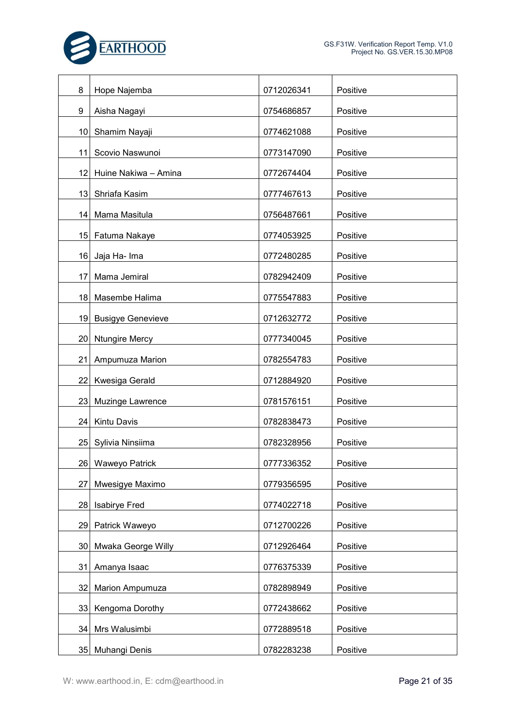

| 8  | Hope Najemba             | 0712026341 | Positive |
|----|--------------------------|------------|----------|
| 9  | Aisha Nagayi             | 0754686857 | Positive |
| 10 | Shamim Nayaji            | 0774621088 | Positive |
| 11 | Scovio Naswunoi          | 0773147090 | Positive |
| 12 | Huine Nakiwa - Amina     | 0772674404 | Positive |
| 13 | Shriafa Kasim            | 0777467613 | Positive |
| 14 | Mama Masitula            | 0756487661 | Positive |
| 15 | Fatuma Nakaye            | 0774053925 | Positive |
| 16 | Jaja Ha- Ima             | 0772480285 | Positive |
| 17 | Mama Jemiral             | 0782942409 | Positive |
| 18 | Masembe Halima           | 0775547883 | Positive |
| 19 | <b>Busigye Genevieve</b> | 0712632772 | Positive |
| 20 | <b>Ntungire Mercy</b>    | 0777340045 | Positive |
| 21 | Ampumuza Marion          | 0782554783 | Positive |
| 22 | Kwesiga Gerald           | 0712884920 | Positive |
| 23 | Muzinge Lawrence         | 0781576151 | Positive |
| 24 | Kintu Davis              | 0782838473 | Positive |
| 25 | Sylivia Ninsiima         | 0782328956 | Positive |
|    | 26 Waweyo Patrick        | 0777336352 | Positive |
| 27 | Mwesigye Maximo          | 0779356595 | Positive |
| 28 | <b>Isabirye Fred</b>     | 0774022718 | Positive |
| 29 | Patrick Waweyo           | 0712700226 | Positive |
| 30 | Mwaka George Willy       | 0712926464 | Positive |
| 31 | Amanya Isaac             | 0776375339 | Positive |
| 32 | Marion Ampumuza          | 0782898949 | Positive |
| 33 | Kengoma Dorothy          | 0772438662 | Positive |
| 34 | Mrs Walusimbi            | 0772889518 | Positive |
|    | 35 Muhangi Denis         | 0782283238 | Positive |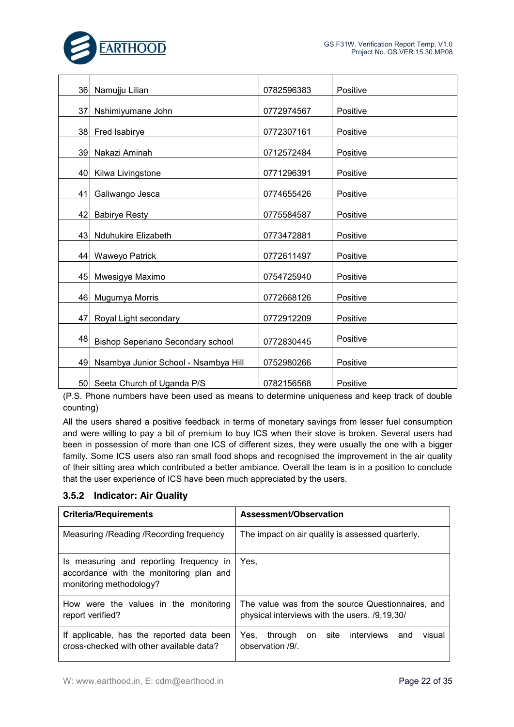

| 36 | Namujju Lilian                       | 0782596383 | Positive |
|----|--------------------------------------|------------|----------|
|    |                                      |            |          |
| 37 | Nshimiyumane John                    | 0772974567 | Positive |
|    |                                      |            |          |
| 38 | Fred Isabirye                        | 0772307161 | Positive |
| 39 | Nakazi Aminah                        | 0712572484 | Positive |
| 40 | Kilwa Livingstone                    | 0771296391 | Positive |
|    |                                      |            |          |
| 41 | Galiwango Jesca                      | 0774655426 | Positive |
|    |                                      |            |          |
| 42 | <b>Babirye Resty</b>                 | 0775584587 | Positive |
| 43 | <b>Nduhukire Elizabeth</b>           | 0773472881 | Positive |
|    | 44 Waweyo Patrick                    | 0772611497 | Positive |
|    |                                      |            |          |
| 45 | Mwesigye Maximo                      | 0754725940 | Positive |
| 46 | Mugumya Morris                       | 0772668126 | Positive |
|    |                                      |            |          |
| 47 | Royal Light secondary                | 0772912209 | Positive |
|    |                                      |            |          |
| 48 | Bishop Seperiano Secondary school    | 0772830445 | Positive |
|    |                                      |            |          |
| 49 | Nsambya Junior School - Nsambya Hill | 0752980266 | Positive |
|    | 50 Seeta Church of Uganda P/S        | 0782156568 | Positive |

(P.S. Phone numbers have been used as means to determine uniqueness and keep track of double counting)

All the users shared a positive feedback in terms of monetary savings from lesser fuel consumption and were willing to pay a bit of premium to buy ICS when their stove is broken. Several users had been in possession of more than one ICS of different sizes, they were usually the one with a bigger family. Some ICS users also ran small food shops and recognised the improvement in the air quality of their sitting area which contributed a better ambiance. Overall the team is in a position to conclude that the user experience of ICS have been much appreciated by the users.

#### **3.5.2 Indicator: Air Quality**

| <b>Criteria/Requirements</b>                                                                                  | Assessment/Observation                                                                             |
|---------------------------------------------------------------------------------------------------------------|----------------------------------------------------------------------------------------------------|
| Measuring / Reading / Recording frequency                                                                     | The impact on air quality is assessed quarterly.                                                   |
| Is measuring and reporting frequency in<br>accordance with the monitoring plan and<br>monitoring methodology? | Yes.                                                                                               |
| How were the values in the monitoring<br>report verified?                                                     | The value was from the source Questionnaires, and<br>physical interviews with the users. /9,19,30/ |
| If applicable, has the reported data been<br>cross-checked with other available data?                         | site<br>interviews<br>visual<br>Yes.<br>through<br>and<br>on<br>observation /9/                    |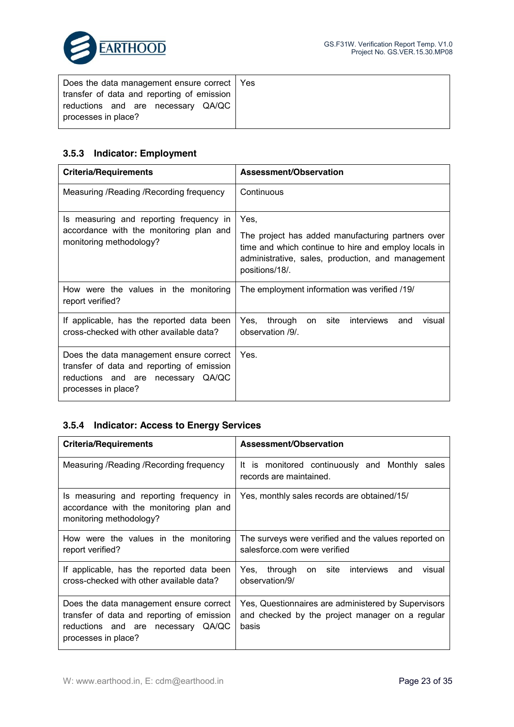

| Does the data management ensure correct   Yes |  |
|-----------------------------------------------|--|
| transfer of data and reporting of emission    |  |
| reductions and are necessary QA/QC            |  |
| processes in place?                           |  |

## **3.5.3 Indicator: Employment**

| <b>Criteria/Requirements</b>                                                                                                                       | Assessment/Observation                                                                                                                                                           |
|----------------------------------------------------------------------------------------------------------------------------------------------------|----------------------------------------------------------------------------------------------------------------------------------------------------------------------------------|
| Measuring / Reading / Recording frequency                                                                                                          | Continuous                                                                                                                                                                       |
| Is measuring and reporting frequency in                                                                                                            | Yes.                                                                                                                                                                             |
| accordance with the monitoring plan and<br>monitoring methodology?                                                                                 | The project has added manufacturing partners over<br>time and which continue to hire and employ locals in<br>administrative, sales, production, and management<br>positions/18/. |
| How were the values in the monitoring<br>report verified?                                                                                          | The employment information was verified /19/                                                                                                                                     |
| If applicable, has the reported data been<br>cross-checked with other available data?                                                              | site<br>through<br>interviews<br>Yes.<br>and<br>visual<br>on<br>observation /9/.                                                                                                 |
| Does the data management ensure correct<br>transfer of data and reporting of emission<br>reductions and are necessary QA/QC<br>processes in place? | Yes.                                                                                                                                                                             |

## **3.5.4 Indicator: Access to Energy Services**

| <b>Criteria/Requirements</b>                                                                                                                       | Assessment/Observation                                                                                          |  |
|----------------------------------------------------------------------------------------------------------------------------------------------------|-----------------------------------------------------------------------------------------------------------------|--|
| Measuring / Reading / Recording frequency                                                                                                          | It is monitored continuously and Monthly<br>sales<br>records are maintained.                                    |  |
| Is measuring and reporting frequency in<br>accordance with the monitoring plan and<br>monitoring methodology?                                      | Yes, monthly sales records are obtained/15/                                                                     |  |
| How were the values in the monitoring<br>report verified?                                                                                          | The surveys were verified and the values reported on<br>salesforce.com were verified                            |  |
| If applicable, has the reported data been<br>cross-checked with other available data?                                                              | interviews<br>Yes,<br>through<br>on site<br>visual<br>and<br>observation/9/                                     |  |
| Does the data management ensure correct<br>transfer of data and reporting of emission<br>reductions and are necessary QA/QC<br>processes in place? | Yes, Questionnaires are administered by Supervisors<br>and checked by the project manager on a regular<br>basis |  |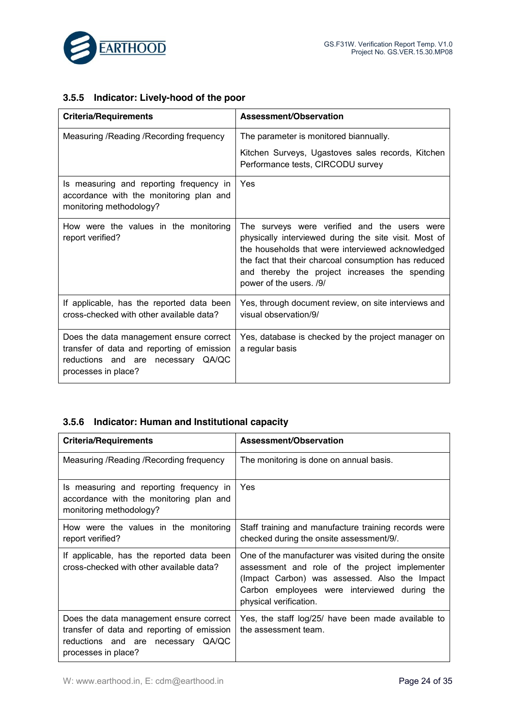

## **3.5.5 Indicator: Lively-hood of the poor**

| <b>Criteria/Requirements</b>                                                                                                                       | Assessment/Observation                                                                                                                                                                                                                                                                          |
|----------------------------------------------------------------------------------------------------------------------------------------------------|-------------------------------------------------------------------------------------------------------------------------------------------------------------------------------------------------------------------------------------------------------------------------------------------------|
| Measuring / Reading / Recording frequency                                                                                                          | The parameter is monitored biannually.                                                                                                                                                                                                                                                          |
|                                                                                                                                                    | Kitchen Surveys, Ugastoves sales records, Kitchen<br>Performance tests, CIRCODU survey                                                                                                                                                                                                          |
| Is measuring and reporting frequency in<br>accordance with the monitoring plan and<br>monitoring methodology?                                      | Yes                                                                                                                                                                                                                                                                                             |
| How were the values in the monitoring<br>report verified?                                                                                          | The surveys were verified and the users were<br>physically interviewed during the site visit. Most of<br>the households that were interviewed acknowledged<br>the fact that their charcoal consumption has reduced<br>and thereby the project increases the spending<br>power of the users. /9/ |
| If applicable, has the reported data been<br>cross-checked with other available data?                                                              | Yes, through document review, on site interviews and<br>visual observation/9/                                                                                                                                                                                                                   |
| Does the data management ensure correct<br>transfer of data and reporting of emission<br>reductions and are necessary QA/QC<br>processes in place? | Yes, database is checked by the project manager on<br>a regular basis                                                                                                                                                                                                                           |

## **3.5.6 Indicator: Human and Institutional capacity**

| <b>Criteria/Requirements</b>                                                                                                                          | <b>Assessment/Observation</b>                                                                                                                                                                                                      |
|-------------------------------------------------------------------------------------------------------------------------------------------------------|------------------------------------------------------------------------------------------------------------------------------------------------------------------------------------------------------------------------------------|
| Measuring / Reading / Recording frequency                                                                                                             | The monitoring is done on annual basis.                                                                                                                                                                                            |
| Is measuring and reporting frequency in<br>accordance with the monitoring plan and<br>monitoring methodology?                                         | Yes                                                                                                                                                                                                                                |
| How were the values in the monitoring<br>report verified?                                                                                             | Staff training and manufacture training records were<br>checked during the onsite assessment/9/.                                                                                                                                   |
| If applicable, has the reported data been<br>cross-checked with other available data?                                                                 | One of the manufacturer was visited during the onsite<br>assessment and role of the project implementer<br>(Impact Carbon) was assessed. Also the Impact<br>Carbon employees were interviewed during the<br>physical verification. |
| Does the data management ensure correct<br>transfer of data and reporting of emission<br>reductions and are necessary<br>QA/QC<br>processes in place? | Yes, the staff log/25/ have been made available to<br>the assessment team.                                                                                                                                                         |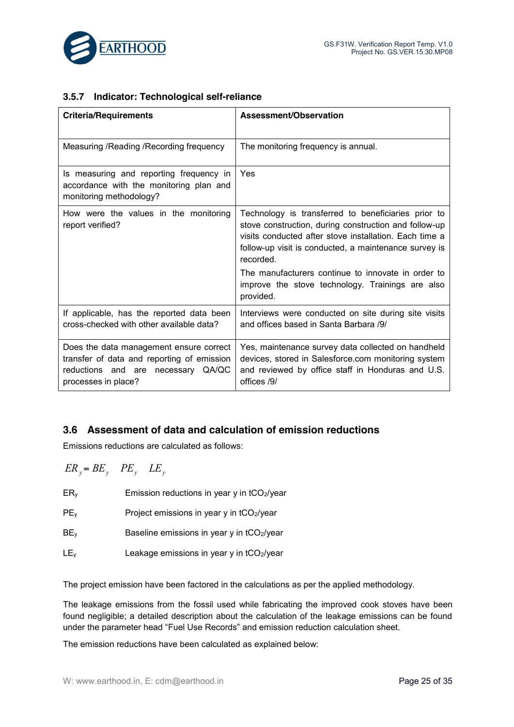

## **3.5.7 Indicator: Technological self-reliance**

| <b>Criteria/Requirements</b>                                                                                                                       | Assessment/Observation                                                                                                                                                                                                                       |
|----------------------------------------------------------------------------------------------------------------------------------------------------|----------------------------------------------------------------------------------------------------------------------------------------------------------------------------------------------------------------------------------------------|
| Measuring / Reading / Recording frequency                                                                                                          | The monitoring frequency is annual.                                                                                                                                                                                                          |
| Is measuring and reporting frequency in<br>accordance with the monitoring plan and<br>monitoring methodology?                                      | Yes                                                                                                                                                                                                                                          |
| How were the values in the monitoring<br>report verified?                                                                                          | Technology is transferred to beneficiaries prior to<br>stove construction, during construction and follow-up<br>visits conducted after stove installation. Each time a<br>follow-up visit is conducted, a maintenance survey is<br>recorded. |
|                                                                                                                                                    | The manufacturers continue to innovate in order to<br>improve the stove technology. Trainings are also<br>provided.                                                                                                                          |
| If applicable, has the reported data been<br>cross-checked with other available data?                                                              | Interviews were conducted on site during site visits<br>and offices based in Santa Barbara /9/                                                                                                                                               |
| Does the data management ensure correct<br>transfer of data and reporting of emission<br>reductions and are necessary QA/QC<br>processes in place? | Yes, maintenance survey data collected on handheld<br>devices, stored in Salesforce.com monitoring system<br>and reviewed by office staff in Honduras and U.S.<br>offices /9/                                                                |

## **3.6 Assessment of data and calculation of emission reductions**

Emissions reductions are calculated as follows:

 $ER_v = BE_v$   $PE_v$   $LE_v$ 

- ERy Emission reductions in year y in tCO2/year
- $PE<sub>y</sub>$  Project emissions in year y in tCO<sub>2</sub>/year
- BE<sub>y</sub> Baseline emissions in year y in tCO<sub>2</sub>/year
- $LE<sub>y</sub>$  Leakage emissions in year y in tCO<sub>2</sub>/year

The project emission have been factored in the calculations as per the applied methodology.

The leakage emissions from the fossil used while fabricating the improved cook stoves have been found negligible; a detailed description about the calculation of the leakage emissions can be found under the parameter head "Fuel Use Records" and emission reduction calculation sheet.

The emission reductions have been calculated as explained below: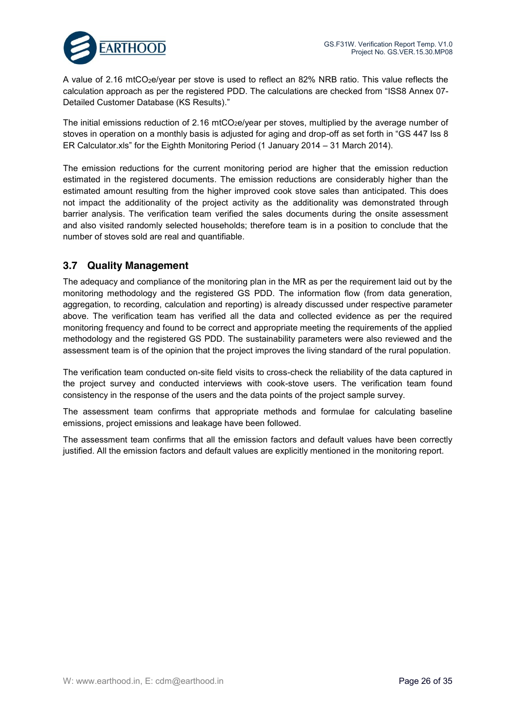

A value of 2.16 mtCO<sub>2</sub>e/year per stove is used to reflect an 82% NRB ratio. This value reflects the calculation approach as per the registered PDD. The calculations are checked from "ISS8 Annex 07- Detailed Customer Database (KS Results)."

The initial emissions reduction of 2.16 mtCO<sub>2</sub>e/year per stoves, multiplied by the average number of stoves in operation on a monthly basis is adjusted for aging and drop-off as set forth in "GS 447 Iss 8 ER Calculator.xls" for the Eighth Monitoring Period (1 January 2014 – 31 March 2014).

The emission reductions for the current monitoring period are higher that the emission reduction estimated in the registered documents. The emission reductions are considerably higher than the estimated amount resulting from the higher improved cook stove sales than anticipated. This does not impact the additionality of the project activity as the additionality was demonstrated through barrier analysis. The verification team verified the sales documents during the onsite assessment and also visited randomly selected households; therefore team is in a position to conclude that the number of stoves sold are real and quantifiable.

## **3.7 Quality Management**

The adequacy and compliance of the monitoring plan in the MR as per the requirement laid out by the monitoring methodology and the registered GS PDD. The information flow (from data generation, aggregation, to recording, calculation and reporting) is already discussed under respective parameter above. The verification team has verified all the data and collected evidence as per the required monitoring frequency and found to be correct and appropriate meeting the requirements of the applied methodology and the registered GS PDD. The sustainability parameters were also reviewed and the assessment team is of the opinion that the project improves the living standard of the rural population.

The verification team conducted on-site field visits to cross-check the reliability of the data captured in the project survey and conducted interviews with cook-stove users. The verification team found consistency in the response of the users and the data points of the project sample survey.

The assessment team confirms that appropriate methods and formulae for calculating baseline emissions, project emissions and leakage have been followed.

The assessment team confirms that all the emission factors and default values have been correctly justified. All the emission factors and default values are explicitly mentioned in the monitoring report.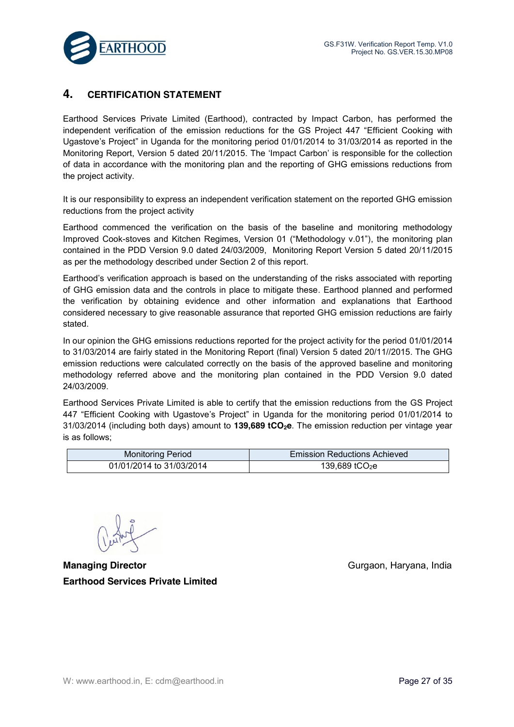

## **4. CERTIFICATION STATEMENT**

Earthood Services Private Limited (Earthood), contracted by Impact Carbon, has performed the independent verification of the emission reductions for the GS Project 447 "Efficient Cooking with Ugastove's Project" in Uganda for the monitoring period 01/01/2014 to 31/03/2014 as reported in the Monitoring Report, Version 5 dated 20/11/2015. The 'Impact Carbon' is responsible for the collection of data in accordance with the monitoring plan and the reporting of GHG emissions reductions from the project activity.

It is our responsibility to express an independent verification statement on the reported GHG emission reductions from the project activity

Earthood commenced the verification on the basis of the baseline and monitoring methodology Improved Cook-stoves and Kitchen Regimes, Version 01 ("Methodology v.01"), the monitoring plan contained in the PDD Version 9.0 dated 24/03/2009, Monitoring Report Version 5 dated 20/11/2015 as per the methodology described under Section 2 of this report.

Earthood's verification approach is based on the understanding of the risks associated with reporting of GHG emission data and the controls in place to mitigate these. Earthood planned and performed the verification by obtaining evidence and other information and explanations that Earthood considered necessary to give reasonable assurance that reported GHG emission reductions are fairly stated.

In our opinion the GHG emissions reductions reported for the project activity for the period 01/01/2014 to 31/03/2014 are fairly stated in the Monitoring Report (final) Version 5 dated 20/11//2015. The GHG emission reductions were calculated correctly on the basis of the approved baseline and monitoring methodology referred above and the monitoring plan contained in the PDD Version 9.0 dated 24/03/2009.

Earthood Services Private Limited is able to certify that the emission reductions from the GS Project 447 "Efficient Cooking with Ugastove's Project" in Uganda for the monitoring period 01/01/2014 to 31/03/2014 (including both days) amount to **139,689 tCO2e**. The emission reduction per vintage year is as follows;

| <b>Monitoring Period</b> | <b>Emission Reductions Achieved</b> |
|--------------------------|-------------------------------------|
| 01/01/2014 to 31/03/2014 | 139,689 tCO <sub>2</sub> e          |

**Managing Director** Gurgaon, Haryana, India **Earthood Services Private Limited**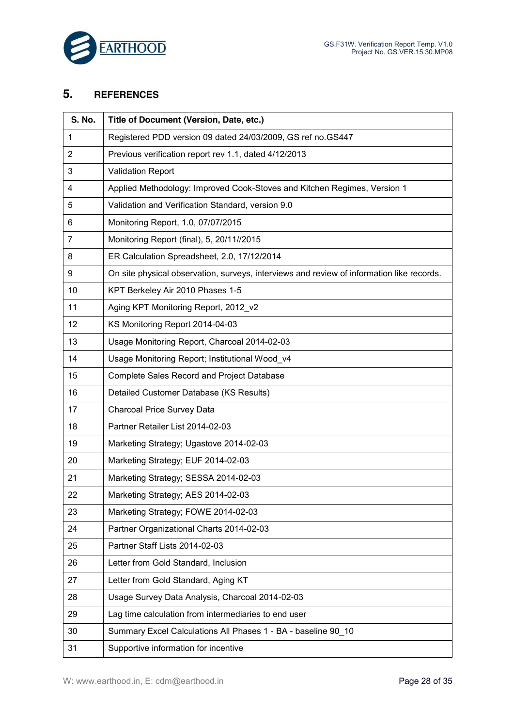

## **5. REFERENCES**

| S. No.         | Title of Document (Version, Date, etc.)                                                   |
|----------------|-------------------------------------------------------------------------------------------|
| $\mathbf{1}$   | Registered PDD version 09 dated 24/03/2009, GS ref no.GS447                               |
| $\overline{2}$ | Previous verification report rev 1.1, dated 4/12/2013                                     |
| 3              | <b>Validation Report</b>                                                                  |
| 4              | Applied Methodology: Improved Cook-Stoves and Kitchen Regimes, Version 1                  |
| 5              | Validation and Verification Standard, version 9.0                                         |
| 6              | Monitoring Report, 1.0, 07/07/2015                                                        |
| 7              | Monitoring Report (final), 5, 20/11//2015                                                 |
| 8              | ER Calculation Spreadsheet, 2.0, 17/12/2014                                               |
| 9              | On site physical observation, surveys, interviews and review of information like records. |
| 10             | KPT Berkeley Air 2010 Phases 1-5                                                          |
| 11             | Aging KPT Monitoring Report, 2012 v2                                                      |
| 12             | KS Monitoring Report 2014-04-03                                                           |
| 13             | Usage Monitoring Report, Charcoal 2014-02-03                                              |
| 14             | Usage Monitoring Report; Institutional Wood_v4                                            |
| 15             | Complete Sales Record and Project Database                                                |
| 16             | Detailed Customer Database (KS Results)                                                   |
| 17             | Charcoal Price Survey Data                                                                |
| 18             | Partner Retailer List 2014-02-03                                                          |
| 19             | Marketing Strategy; Ugastove 2014-02-03                                                   |
| 20             | Marketing Strategy; EUF 2014-02-03                                                        |
| 21             | Marketing Strategy; SESSA 2014-02-03                                                      |
| 22             | Marketing Strategy; AES 2014-02-03                                                        |
| 23             | Marketing Strategy; FOWE 2014-02-03                                                       |
| 24             | Partner Organizational Charts 2014-02-03                                                  |
| 25             | Partner Staff Lists 2014-02-03                                                            |
| 26             | Letter from Gold Standard, Inclusion                                                      |
| 27             | Letter from Gold Standard, Aging KT                                                       |
| 28             | Usage Survey Data Analysis, Charcoal 2014-02-03                                           |
| 29             | Lag time calculation from intermediaries to end user                                      |
| 30             | Summary Excel Calculations All Phases 1 - BA - baseline 90_10                             |
| 31             | Supportive information for incentive                                                      |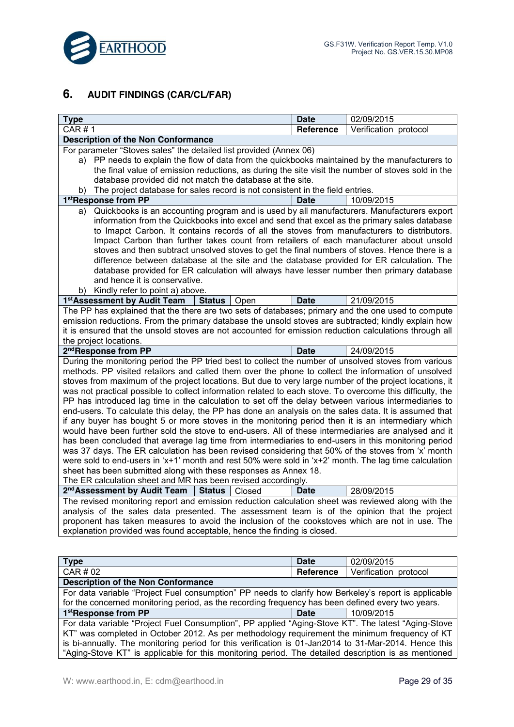

## **6. AUDIT FINDINGS (CAR/CL/FAR)**

| <b>Type</b>                                                                                                                                                                                                                                                                                                                                                                                                                                                                                                                                                                                                                                                                                                                                                  | <b>Date</b> | 02/09/2015            |  |  |
|--------------------------------------------------------------------------------------------------------------------------------------------------------------------------------------------------------------------------------------------------------------------------------------------------------------------------------------------------------------------------------------------------------------------------------------------------------------------------------------------------------------------------------------------------------------------------------------------------------------------------------------------------------------------------------------------------------------------------------------------------------------|-------------|-----------------------|--|--|
| CAR # 1                                                                                                                                                                                                                                                                                                                                                                                                                                                                                                                                                                                                                                                                                                                                                      | Reference   | Verification protocol |  |  |
| <b>Description of the Non Conformance</b>                                                                                                                                                                                                                                                                                                                                                                                                                                                                                                                                                                                                                                                                                                                    |             |                       |  |  |
| For parameter "Stoves sales" the detailed list provided (Annex 06)                                                                                                                                                                                                                                                                                                                                                                                                                                                                                                                                                                                                                                                                                           |             |                       |  |  |
| a) PP needs to explain the flow of data from the quickbooks maintained by the manufacturers to                                                                                                                                                                                                                                                                                                                                                                                                                                                                                                                                                                                                                                                               |             |                       |  |  |
| the final value of emission reductions, as during the site visit the number of stoves sold in the                                                                                                                                                                                                                                                                                                                                                                                                                                                                                                                                                                                                                                                            |             |                       |  |  |
| database provided did not match the database at the site.                                                                                                                                                                                                                                                                                                                                                                                                                                                                                                                                                                                                                                                                                                    |             |                       |  |  |
| The project database for sales record is not consistent in the field entries.<br>b)                                                                                                                                                                                                                                                                                                                                                                                                                                                                                                                                                                                                                                                                          |             |                       |  |  |
| 1stResponse from PP                                                                                                                                                                                                                                                                                                                                                                                                                                                                                                                                                                                                                                                                                                                                          | <b>Date</b> | 10/09/2015            |  |  |
| Quickbooks is an accounting program and is used by all manufacturers. Manufacturers export<br>a)<br>information from the Quickbooks into excel and send that excel as the primary sales database<br>to Imapct Carbon. It contains records of all the stoves from manufacturers to distributors.<br>Impact Carbon than further takes count from retailers of each manufacturer about unsold<br>stoves and then subtract unsolved stoves to get the final numbers of stoves. Hence there is a<br>difference between database at the site and the database provided for ER calculation. The<br>database provided for ER calculation will always have lesser number then primary database<br>and hence it is conservative.<br>b) Kindly refer to point a) above. |             |                       |  |  |
| 1 <sup>st</sup> Assessment by Audit Team<br><b>Status</b><br>Open                                                                                                                                                                                                                                                                                                                                                                                                                                                                                                                                                                                                                                                                                            | <b>Date</b> | 21/09/2015            |  |  |
| The PP has explained that the there are two sets of databases; primary and the one used to compute<br>emission reductions. From the primary database the unsold stoves are subtracted; kindly explain how<br>it is ensured that the unsold stoves are not accounted for emission reduction calculations through all<br>the project locations.                                                                                                                                                                                                                                                                                                                                                                                                                |             |                       |  |  |
| 2 <sup>nd</sup> Response from PP                                                                                                                                                                                                                                                                                                                                                                                                                                                                                                                                                                                                                                                                                                                             | <b>Date</b> | 24/09/2015            |  |  |
| During the monitoring period the PP tried best to collect the number of unsolved stoves from various                                                                                                                                                                                                                                                                                                                                                                                                                                                                                                                                                                                                                                                         |             |                       |  |  |
| methods. PP visited retailors and called them over the phone to collect the information of unsolved                                                                                                                                                                                                                                                                                                                                                                                                                                                                                                                                                                                                                                                          |             |                       |  |  |
| stoves from maximum of the project locations. But due to very large number of the project locations, it                                                                                                                                                                                                                                                                                                                                                                                                                                                                                                                                                                                                                                                      |             |                       |  |  |
| was not practical possible to collect information related to each stove. To overcome this difficulty, the                                                                                                                                                                                                                                                                                                                                                                                                                                                                                                                                                                                                                                                    |             |                       |  |  |
| PP has introduced lag time in the calculation to set off the delay between various intermediaries to                                                                                                                                                                                                                                                                                                                                                                                                                                                                                                                                                                                                                                                         |             |                       |  |  |
| end-users. To calculate this delay, the PP has done an analysis on the sales data. It is assumed that                                                                                                                                                                                                                                                                                                                                                                                                                                                                                                                                                                                                                                                        |             |                       |  |  |
| if any buyer has bought 5 or more stoves in the monitoring period then it is an intermediary which<br>would have been further sold the stove to end-users. All of these intermediaries are analysed and it                                                                                                                                                                                                                                                                                                                                                                                                                                                                                                                                                   |             |                       |  |  |
| has been concluded that average lag time from intermediaries to end-users in this monitoring period                                                                                                                                                                                                                                                                                                                                                                                                                                                                                                                                                                                                                                                          |             |                       |  |  |
| was 37 days. The ER calculation has been revised considering that 50% of the stoves from 'x' month                                                                                                                                                                                                                                                                                                                                                                                                                                                                                                                                                                                                                                                           |             |                       |  |  |
| were sold to end-users in 'x+1' month and rest 50% were sold in 'x+2' month. The lag time calculation                                                                                                                                                                                                                                                                                                                                                                                                                                                                                                                                                                                                                                                        |             |                       |  |  |
| sheet has been submitted along with these responses as Annex 18.                                                                                                                                                                                                                                                                                                                                                                                                                                                                                                                                                                                                                                                                                             |             |                       |  |  |
| The ER calculation sheet and MR has been revised accordingly.                                                                                                                                                                                                                                                                                                                                                                                                                                                                                                                                                                                                                                                                                                |             |                       |  |  |
| 2 <sup>nd</sup> Assessment by Audit Team<br><b>Status</b><br>Closed                                                                                                                                                                                                                                                                                                                                                                                                                                                                                                                                                                                                                                                                                          | <b>Date</b> | 28/09/2015            |  |  |
| The revised monitoring report and emission reduction calculation sheet was reviewed along with the                                                                                                                                                                                                                                                                                                                                                                                                                                                                                                                                                                                                                                                           |             |                       |  |  |
| analysis of the sales data presented. The assessment team is of the opinion that the project                                                                                                                                                                                                                                                                                                                                                                                                                                                                                                                                                                                                                                                                 |             |                       |  |  |
| proponent has taken measures to avoid the inclusion of the cookstoves which are not in use. The                                                                                                                                                                                                                                                                                                                                                                                                                                                                                                                                                                                                                                                              |             |                       |  |  |
| explanation provided was found acceptable, hence the finding is closed.                                                                                                                                                                                                                                                                                                                                                                                                                                                                                                                                                                                                                                                                                      |             |                       |  |  |
|                                                                                                                                                                                                                                                                                                                                                                                                                                                                                                                                                                                                                                                                                                                                                              |             |                       |  |  |
| <b>Type</b>                                                                                                                                                                                                                                                                                                                                                                                                                                                                                                                                                                                                                                                                                                                                                  | <b>Date</b> | 02/09/2015            |  |  |
| CAR # 02                                                                                                                                                                                                                                                                                                                                                                                                                                                                                                                                                                                                                                                                                                                                                     | Reference   | Verification protocol |  |  |
| <b>Description of the Non Conformance</b>                                                                                                                                                                                                                                                                                                                                                                                                                                                                                                                                                                                                                                                                                                                    |             |                       |  |  |
| For data variable "Project Fuel consumption" PP needs to clarify how Berkeley's report is applicable                                                                                                                                                                                                                                                                                                                                                                                                                                                                                                                                                                                                                                                         |             |                       |  |  |
| for the concerned monitoring period, as the recording frequency has been defined every two years.                                                                                                                                                                                                                                                                                                                                                                                                                                                                                                                                                                                                                                                            |             |                       |  |  |
| 1stResponse from PP<br><b>Date</b><br>10/09/2015                                                                                                                                                                                                                                                                                                                                                                                                                                                                                                                                                                                                                                                                                                             |             |                       |  |  |
| For data variable "Project Fuel Consumption", PP applied "Aging-Stove KT". The latest "Aging-Stove                                                                                                                                                                                                                                                                                                                                                                                                                                                                                                                                                                                                                                                           |             |                       |  |  |
| KT" was completed in October 2012. As per methodology requirement the minimum frequency of KT                                                                                                                                                                                                                                                                                                                                                                                                                                                                                                                                                                                                                                                                |             |                       |  |  |
| is bi-annually. The monitoring period for this verification is 01-Jan2014 to 31-Mar-2014. Hence this                                                                                                                                                                                                                                                                                                                                                                                                                                                                                                                                                                                                                                                         |             |                       |  |  |
| "Aging-Stove KT" is applicable for this monitoring period. The detailed description is as mentioned                                                                                                                                                                                                                                                                                                                                                                                                                                                                                                                                                                                                                                                          |             |                       |  |  |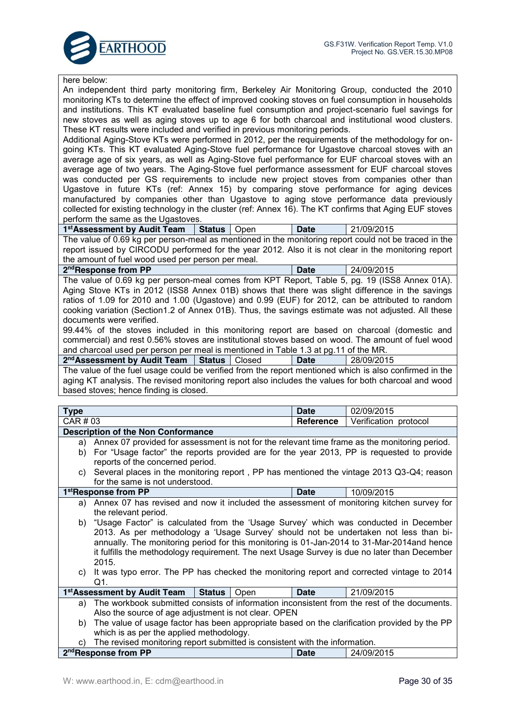

| here below:                                                                                                                                                                                |             |                       |  |
|--------------------------------------------------------------------------------------------------------------------------------------------------------------------------------------------|-------------|-----------------------|--|
| An independent third party monitoring firm, Berkeley Air Monitoring Group, conducted the 2010                                                                                              |             |                       |  |
| monitoring KTs to determine the effect of improved cooking stoves on fuel consumption in households                                                                                        |             |                       |  |
| and institutions. This KT evaluated baseline fuel consumption and project-scenario fuel savings for                                                                                        |             |                       |  |
| new stoves as well as aging stoves up to age 6 for both charcoal and institutional wood clusters.                                                                                          |             |                       |  |
| These KT results were included and verified in previous monitoring periods.                                                                                                                |             |                       |  |
| Additional Aging-Stove KTs were performed in 2012, per the requirements of the methodology for on-                                                                                         |             |                       |  |
| going KTs. This KT evaluated Aging-Stove fuel performance for Ugastove charcoal stoves with an                                                                                             |             |                       |  |
| average age of six years, as well as Aging-Stove fuel performance for EUF charcoal stoves with an                                                                                          |             |                       |  |
| average age of two years. The Aging-Stove fuel performance assessment for EUF charcoal stoves                                                                                              |             |                       |  |
| was conducted per GS requirements to include new project stoves from companies other than                                                                                                  |             |                       |  |
| Ugastove in future KTs (ref: Annex 15) by comparing stove performance for aging devices                                                                                                    |             |                       |  |
| manufactured by companies other than Ugastove to aging stove performance data previously                                                                                                   |             |                       |  |
| collected for existing technology in the cluster (ref: Annex 16). The KT confirms that Aging EUF stoves                                                                                    |             |                       |  |
| perform the same as the Ugastoves.                                                                                                                                                         |             |                       |  |
| 1 <sup>st</sup> Assessment by Audit Team<br><b>Status</b><br>Open                                                                                                                          | <b>Date</b> | 21/09/2015            |  |
| The value of 0.69 kg per person-meal as mentioned in the monitoring report could not be traced in the                                                                                      |             |                       |  |
| report issued by CIRCODU performed for the year 2012. Also it is not clear in the monitoring report                                                                                        |             |                       |  |
| the amount of fuel wood used per person per meal.                                                                                                                                          |             |                       |  |
| 2 <sup>nd</sup> Response from PP                                                                                                                                                           | <b>Date</b> | 24/09/2015            |  |
| The value of 0.69 kg per person-meal comes from KPT Report, Table 5, pg. 19 (ISS8 Annex 01A).                                                                                              |             |                       |  |
| Aging Stove KTs in 2012 (ISS8 Annex 01B) shows that there was slight difference in the savings                                                                                             |             |                       |  |
| ratios of 1.09 for 2010 and 1.00 (Ugastove) and 0.99 (EUF) for 2012, can be attributed to random                                                                                           |             |                       |  |
| cooking variation (Section1.2 of Annex 01B). Thus, the savings estimate was not adjusted. All these                                                                                        |             |                       |  |
| documents were verified.                                                                                                                                                                   |             |                       |  |
| 99.44% of the stoves included in this monitoring report are based on charcoal (domestic and                                                                                                |             |                       |  |
| commercial) and rest 0.56% stoves are institutional stoves based on wood. The amount of fuel wood                                                                                          |             |                       |  |
| and charcoal used per person per meal is mentioned in Table 1.3 at pg.11 of the MR.                                                                                                        |             |                       |  |
| 2 <sup>nd</sup> Assessment by Audit Team   Status   Closed                                                                                                                                 | <b>Date</b> | 28/09/2015            |  |
| The value of the fuel usage could be verified from the report mentioned which is also confirmed in the                                                                                     |             |                       |  |
|                                                                                                                                                                                            |             |                       |  |
| aging KT analysis. The revised monitoring report also includes the values for both charcoal and wood                                                                                       |             |                       |  |
| based stoves; hence finding is closed.                                                                                                                                                     |             |                       |  |
|                                                                                                                                                                                            |             |                       |  |
| <b>Type</b>                                                                                                                                                                                | <b>Date</b> | 02/09/2015            |  |
| CAR # 03                                                                                                                                                                                   | Reference   | Verification protocol |  |
| <b>Description of the Non Conformance</b>                                                                                                                                                  |             |                       |  |
| Annex 07 provided for assessment is not for the relevant time frame as the monitoring period.<br>a)                                                                                        |             |                       |  |
| b) For "Usage factor" the reports provided are for the year 2013, PP is requested to provide                                                                                               |             |                       |  |
| reports of the concerned period.                                                                                                                                                           |             |                       |  |
| c) Several places in the monitoring report, PP has mentioned the vintage 2013 Q3-Q4; reason                                                                                                |             |                       |  |
| for the same is not understood.                                                                                                                                                            | <b>Date</b> |                       |  |
| 1stResponse from PP                                                                                                                                                                        |             | 10/09/2015            |  |
| a) Annex 07 has revised and now it included the assessment of monitoring kitchen survey for                                                                                                |             |                       |  |
| the relevant period.                                                                                                                                                                       |             |                       |  |
| "Usage Factor" is calculated from the 'Usage Survey' which was conducted in December<br>b)                                                                                                 |             |                       |  |
| 2013. As per methodology a 'Usage Survey' should not be undertaken not less than bi-                                                                                                       |             |                       |  |
| annually. The monitoring period for this monitoring is 01-Jan-2014 to 31-Mar-2014and hence<br>it fulfills the methodology requirement. The next Usage Survey is due no later than December |             |                       |  |
| 2015.                                                                                                                                                                                      |             |                       |  |
| It was typo error. The PP has checked the monitoring report and corrected vintage to 2014<br>C)                                                                                            |             |                       |  |
| Q1.                                                                                                                                                                                        |             |                       |  |
| 1 <sup>st</sup> Assessment by Audit Team<br><b>Status</b><br>Open                                                                                                                          | <b>Date</b> | 21/09/2015            |  |
| The workbook submitted consists of information inconsistent from the rest of the documents.<br>a)                                                                                          |             |                       |  |
| Also the source of age adjustment is not clear. OPEN                                                                                                                                       |             |                       |  |
| The value of usage factor has been appropriate based on the clarification provided by the PP<br>b)                                                                                         |             |                       |  |
| which is as per the applied methodology.                                                                                                                                                   |             |                       |  |
| The revised monitoring report submitted is consistent with the information.<br>C)<br>2 <sup>nd</sup> Response from PP                                                                      | <b>Date</b> | 24/09/2015            |  |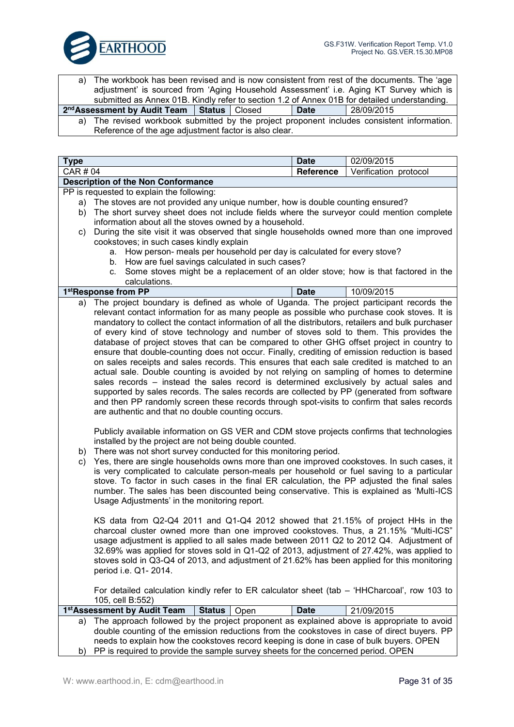

The workbook has been revised and is now consistent from rest of the documents. The 'age adjustment' is sourced from 'Aging Household Assessment' i.e. Aging KT Survey which is submitted as Annex 01B. Kindly refer to section 1.2 of Annex 01B for detailed understanding.

**2ndAssessment by Audit Team Status** Closed **Date** 28/09/2015

a) The revised workbook submitted by the project proponent includes consistent information. Reference of the age adjustment factor is also clear.

| <b>Type</b>                        | <b>Date</b> | 02/09/2015            |
|------------------------------------|-------------|-----------------------|
| CAR # 04                           | Reference   | Verification protocol |
| Description of the Non Conformance |             |                       |

PP is requested to explain the following:

- a) The stoves are not provided any unique number, how is double counting ensured?
- b) The short survey sheet does not include fields where the surveyor could mention complete information about all the stoves owned by a household.
- c) During the site visit it was observed that single households owned more than one improved cookstoves; in such cases kindly explain
	- a. How person- meals per household per day is calculated for every stove?
	- b. How are fuel savings calculated in such cases?
	- c. Some stoves might be a replacement of an older stove; how is that factored in the calculations.

#### **1stResponse from PP Date** 10/09/2015

a) The project boundary is defined as whole of Uganda. The project participant records the relevant contact information for as many people as possible who purchase cook stoves. It is mandatory to collect the contact information of all the distributors, retailers and bulk purchaser of every kind of stove technology and number of stoves sold to them. This provides the database of project stoves that can be compared to other GHG offset project in country to ensure that double-counting does not occur. Finally, crediting of emission reduction is based on sales receipts and sales records. This ensures that each sale credited is matched to an actual sale. Double counting is avoided by not relying on sampling of homes to determine sales records – instead the sales record is determined exclusively by actual sales and supported by sales records. The sales records are collected by PP (generated from software and then PP randomly screen these records through spot-visits to confirm that sales records are authentic and that no double counting occurs.

Publicly available information on GS VER and CDM stove projects confirms that technologies installed by the project are not being double counted.

- b) There was not short survey conducted for this monitoring period.
- c) Yes, there are single households owns more than one improved cookstoves. In such cases, it is very complicated to calculate person-meals per household or fuel saving to a particular stove. To factor in such cases in the final ER calculation, the PP adjusted the final sales number. The sales has been discounted being conservative. This is explained as 'Multi-ICS Usage Adjustments' in the monitoring report.

KS data from Q2-Q4 2011 and Q1-Q4 2012 showed that 21.15% of project HHs in the charcoal cluster owned more than one improved cookstoves. Thus, a 21.15% "Multi-ICS" usage adjustment is applied to all sales made between 2011 Q2 to 2012 Q4. Adjustment of 32.69% was applied for stoves sold in Q1-Q2 of 2013, adjustment of 27.42%, was applied to stoves sold in Q3-Q4 of 2013, and adjustment of 21.62% has been applied for this monitoring period i.e. Q1- 2014.

For detailed calculation kindly refer to ER calculator sheet (tab – 'HHCharcoal', row 103 to 105, cell B:552)

| 1 <sup>st</sup> Assessment by Audit Team   Status   Open                                |  | Date | 21/09/2015                                                                                   |
|-----------------------------------------------------------------------------------------|--|------|----------------------------------------------------------------------------------------------|
|                                                                                         |  |      | a) The approach followed by the project proponent as explained above is appropriate to avoid |
|                                                                                         |  |      | double counting of the emission reductions from the cookstoves in case of direct buyers. PP  |
| needs to explain how the cookstoves record keeping is done in case of bulk buyers. OPEN |  |      |                                                                                              |
| b) PP is required to provide the sample survey sheets for the concerned period. OPEN    |  |      |                                                                                              |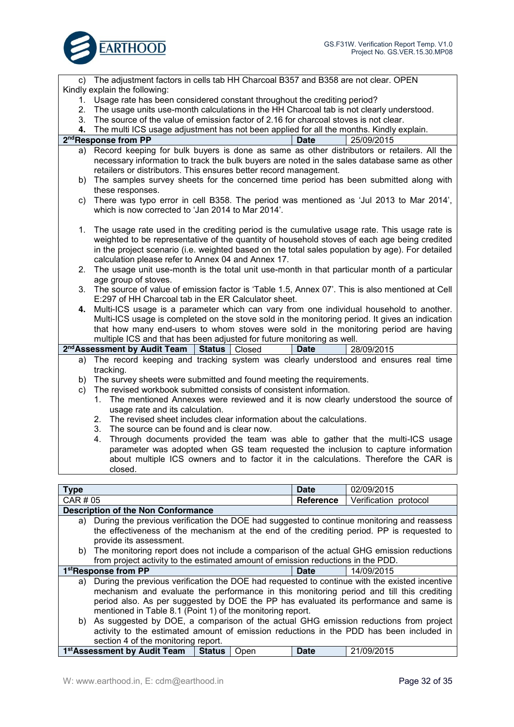

|                                                                                   | c) The adjustment factors in cells tab HH Charcoal B357 and B358 are not clear. OPEN             |  |  |  |
|-----------------------------------------------------------------------------------|--------------------------------------------------------------------------------------------------|--|--|--|
| Kindly explain the following:                                                     |                                                                                                  |  |  |  |
| 1.                                                                                | Usage rate has been considered constant throughout the crediting period?                         |  |  |  |
| 2.                                                                                | The usage units use-month calculations in the HH Charcoal tab is not clearly understood.         |  |  |  |
| 3.                                                                                | The source of the value of emission factor of 2.16 for charcoal stoves is not clear.             |  |  |  |
| 4.                                                                                | The multi ICS usage adjustment has not been applied for all the months. Kindly explain.          |  |  |  |
|                                                                                   | 2 <sup>nd</sup> Response from PP<br><b>Date</b><br>25/09/2015                                    |  |  |  |
| a)                                                                                | Record keeping for bulk buyers is done as same as other distributors or retailers. All the       |  |  |  |
|                                                                                   | necessary information to track the bulk buyers are noted in the sales database same as other     |  |  |  |
|                                                                                   | retailers or distributors. This ensures better record management.                                |  |  |  |
| b)                                                                                | The samples survey sheets for the concerned time period has been submitted along with            |  |  |  |
|                                                                                   | these responses.                                                                                 |  |  |  |
| C)                                                                                | There was typo error in cell B358. The period was mentioned as 'Jul 2013 to Mar 2014',           |  |  |  |
|                                                                                   | which is now corrected to 'Jan 2014 to Mar 2014'.                                                |  |  |  |
|                                                                                   |                                                                                                  |  |  |  |
| 1.                                                                                | The usage rate used in the crediting period is the cumulative usage rate. This usage rate is     |  |  |  |
|                                                                                   | weighted to be representative of the quantity of household stoves of each age being credited     |  |  |  |
|                                                                                   | in the project scenario (i.e. weighted based on the total sales population by age). For detailed |  |  |  |
|                                                                                   | calculation please refer to Annex 04 and Annex 17.                                               |  |  |  |
| 2.                                                                                | The usage unit use-month is the total unit use-month in that particular month of a particular    |  |  |  |
|                                                                                   | age group of stoves.                                                                             |  |  |  |
| 3.                                                                                | The source of value of emission factor is 'Table 1.5, Annex 07'. This is also mentioned at Cell  |  |  |  |
|                                                                                   | E:297 of HH Charcoal tab in the ER Calculator sheet.                                             |  |  |  |
| 4.                                                                                | Multi-ICS usage is a parameter which can vary from one individual household to another.          |  |  |  |
|                                                                                   | Multi-ICS usage is completed on the stove sold in the monitoring period. It gives an indication  |  |  |  |
|                                                                                   | that how many end-users to whom stoves were sold in the monitoring period are having             |  |  |  |
|                                                                                   | multiple ICS and that has been adjusted for future monitoring as well.                           |  |  |  |
|                                                                                   | 2 <sup>nd</sup> Assessment by Audit Team<br>28/09/2015<br>Status   Closed<br><b>Date</b>         |  |  |  |
| a)                                                                                | The record keeping and tracking system was clearly understood and ensures real time              |  |  |  |
|                                                                                   | tracking.                                                                                        |  |  |  |
|                                                                                   | b) The survey sheets were submitted and found meeting the requirements.                          |  |  |  |
| C)                                                                                | The revised workbook submitted consists of consistent information.                               |  |  |  |
|                                                                                   | 1. The mentioned Annexes were reviewed and it is now clearly understood the source of            |  |  |  |
|                                                                                   | usage rate and its calculation.                                                                  |  |  |  |
|                                                                                   | 2. The revised sheet includes clear information about the calculations.                          |  |  |  |
|                                                                                   | 3.<br>The source can be found and is clear now.                                                  |  |  |  |
|                                                                                   | Through documents provided the team was able to gather that the multi-ICS usage<br>4.            |  |  |  |
| parameter was adopted when GS team requested the inclusion to capture information |                                                                                                  |  |  |  |

parameter was adopted when GS team requested the inclusion to capture information about multiple ICS owners and to factor it in the calculations. Therefore the CAR is closed.

| <b>Type</b>                                                                             |                                                                                  |          |      | Date        | 02/09/2015                                                                                    |
|-----------------------------------------------------------------------------------------|----------------------------------------------------------------------------------|----------|------|-------------|-----------------------------------------------------------------------------------------------|
| CAR # 05<br><b>Reference</b><br>Verification protocol                                   |                                                                                  |          |      |             |                                                                                               |
|                                                                                         | <b>Description of the Non Conformance</b>                                        |          |      |             |                                                                                               |
| a)                                                                                      |                                                                                  |          |      |             | During the previous verification the DOE had suggested to continue monitoring and reassess    |
|                                                                                         |                                                                                  |          |      |             | the effectiveness of the mechanism at the end of the crediting period. PP is requested to     |
|                                                                                         | provide its assessment.                                                          |          |      |             |                                                                                               |
|                                                                                         |                                                                                  |          |      |             | b) The monitoring report does not include a comparison of the actual GHG emission reductions  |
|                                                                                         | from project activity to the estimated amount of emission reductions in the PDD. |          |      |             |                                                                                               |
|                                                                                         | 1 <sup>st</sup> Response from PP                                                 |          |      | <b>Date</b> | 14/09/2015                                                                                    |
| a)                                                                                      |                                                                                  |          |      |             | During the previous verification the DOE had requested to continue with the existed incentive |
|                                                                                         |                                                                                  |          |      |             | mechanism and evaluate the performance in this monitoring period and till this crediting      |
|                                                                                         |                                                                                  |          |      |             | period also. As per suggested by DOE the PP has evaluated its performance and same is         |
|                                                                                         | mentioned in Table 8.1 (Point 1) of the monitoring report.                       |          |      |             |                                                                                               |
|                                                                                         |                                                                                  |          |      |             | b) As suggested by DOE, a comparison of the actual GHG emission reductions from project       |
| activity to the estimated amount of emission reductions in the PDD has been included in |                                                                                  |          |      |             |                                                                                               |
| section 4 of the monitoring report.                                                     |                                                                                  |          |      |             |                                                                                               |
|                                                                                         | 1 <sup>st</sup> Assessment by Audit Team                                         | ∣ Status | Open | <b>Date</b> | 21/09/2015                                                                                    |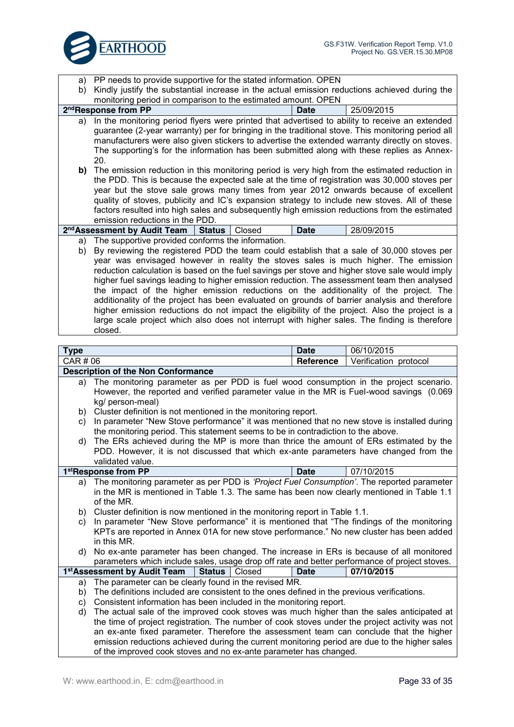

a) PP needs to provide supportive for the stated information. OPEN

b) Kindly justify the substantial increase in the actual emission reductions achieved during the monitoring period in comparison to the estimated amount. OPEN

|                                                                                                | 2 <sup>nd</sup> Response from PP                                                                                                                                                                    | Date        | 25/09/2015 |  |  |  |
|------------------------------------------------------------------------------------------------|-----------------------------------------------------------------------------------------------------------------------------------------------------------------------------------------------------|-------------|------------|--|--|--|
| a)                                                                                             | In the monitoring period flyers were printed that advertised to ability to receive an extended<br>guarantee (2-year warranty) per for bringing in the traditional stove. This monitoring period all |             |            |  |  |  |
|                                                                                                | manufacturers were also given stickers to advertise the extended warranty directly on stoves.                                                                                                       |             |            |  |  |  |
|                                                                                                | The supporting's for the information has been submitted along with these replies as Annex-                                                                                                          |             |            |  |  |  |
|                                                                                                | 20.                                                                                                                                                                                                 |             |            |  |  |  |
| b)                                                                                             | The emission reduction in this monitoring period is very high from the estimated reduction in                                                                                                       |             |            |  |  |  |
|                                                                                                | the PDD. This is because the expected sale at the time of registration was 30,000 stoves per                                                                                                        |             |            |  |  |  |
|                                                                                                | year but the stove sale grows many times from year 2012 onwards because of excellent                                                                                                                |             |            |  |  |  |
|                                                                                                | quality of stoves, publicity and IC's expansion strategy to include new stoves. All of these                                                                                                        |             |            |  |  |  |
|                                                                                                | factors resulted into high sales and subsequently high emission reductions from the estimated                                                                                                       |             |            |  |  |  |
|                                                                                                | emission reductions in the PDD.                                                                                                                                                                     |             |            |  |  |  |
|                                                                                                | 2 <sup>nd</sup> Assessment by Audit Team   Status   Closed                                                                                                                                          | <b>Date</b> | 28/09/2015 |  |  |  |
| a)                                                                                             | The supportive provided conforms the information.                                                                                                                                                   |             |            |  |  |  |
| b)                                                                                             | By reviewing the registered PDD the team could establish that a sale of 30,000 stoves per                                                                                                           |             |            |  |  |  |
|                                                                                                | year was envisaged however in reality the stoves sales is much higher. The emission                                                                                                                 |             |            |  |  |  |
|                                                                                                | reduction calculation is based on the fuel savings per stove and higher stove sale would imply                                                                                                      |             |            |  |  |  |
|                                                                                                | higher fuel savings leading to higher emission reduction. The assessment team then analysed                                                                                                         |             |            |  |  |  |
|                                                                                                | the impact of the higher emission reductions on the additionality of the project. The                                                                                                               |             |            |  |  |  |
| additionality of the project has been evaluated on grounds of barrier analysis and therefore   |                                                                                                                                                                                                     |             |            |  |  |  |
| higher emission reductions do not impact the eligibility of the project. Also the project is a |                                                                                                                                                                                                     |             |            |  |  |  |
| large scale project which also does not interrupt with higher sales. The finding is therefore  |                                                                                                                                                                                                     |             |            |  |  |  |
| closed.                                                                                        |                                                                                                                                                                                                     |             |            |  |  |  |
|                                                                                                |                                                                                                                                                                                                     |             |            |  |  |  |
| Type                                                                                           |                                                                                                                                                                                                     | <b>Date</b> | 06/10/2015 |  |  |  |

| Type                                                              |                                                                                                  | <b>Date</b> | 06/10/2015 |  |  |
|-------------------------------------------------------------------|--------------------------------------------------------------------------------------------------|-------------|------------|--|--|
|                                                                   | CAR # 06<br>Verification protocol<br><b>Reference</b>                                            |             |            |  |  |
|                                                                   | <b>Description of the Non Conformance</b>                                                        |             |            |  |  |
| a)                                                                | The monitoring parameter as per PDD is fuel wood consumption in the project scenario.            |             |            |  |  |
|                                                                   | However, the reported and verified parameter value in the MR is Fuel-wood savings (0.069         |             |            |  |  |
|                                                                   | kg/ person-meal)                                                                                 |             |            |  |  |
| b)                                                                | Cluster definition is not mentioned in the monitoring report.                                    |             |            |  |  |
| C)                                                                | In parameter "New Stove performance" it was mentioned that no new stove is installed during      |             |            |  |  |
|                                                                   | the monitoring period. This statement seems to be in contradiction to the above.                 |             |            |  |  |
| d)                                                                | The ERs achieved during the MP is more than thrice the amount of ERs estimated by the            |             |            |  |  |
|                                                                   | PDD. However, it is not discussed that which ex-ante parameters have changed from the            |             |            |  |  |
|                                                                   | validated value.                                                                                 |             |            |  |  |
|                                                                   | 1stResponse from PP                                                                              | <b>Date</b> | 07/10/2015 |  |  |
| a)                                                                | The monitoring parameter as per PDD is 'Project Fuel Consumption'. The reported parameter        |             |            |  |  |
|                                                                   | in the MR is mentioned in Table 1.3. The same has been now clearly mentioned in Table 1.1        |             |            |  |  |
|                                                                   | of the MR.                                                                                       |             |            |  |  |
|                                                                   | b) Cluster definition is now mentioned in the monitoring report in Table 1.1.                    |             |            |  |  |
| C)                                                                | In parameter "New Stove performance" it is mentioned that "The findings of the monitoring        |             |            |  |  |
|                                                                   | KPTs are reported in Annex 01A for new stove performance." No new cluster has been added         |             |            |  |  |
|                                                                   | in this MR.                                                                                      |             |            |  |  |
| d)                                                                | No ex-ante parameter has been changed. The increase in ERs is because of all monitored           |             |            |  |  |
|                                                                   | parameters which include sales, usage drop off rate and better performance of project stoves.    |             |            |  |  |
|                                                                   | 1 <sup>st</sup> Assessment by Audit Team<br><b>Status</b><br>Closed                              | <b>Date</b> | 07/10/2015 |  |  |
|                                                                   | The parameter can be clearly found in the revised MR.<br>a)                                      |             |            |  |  |
|                                                                   | The definitions included are consistent to the ones defined in the previous verifications.<br>b) |             |            |  |  |
| C)                                                                | Consistent information has been included in the monitoring report.                               |             |            |  |  |
| d)                                                                | The actual sale of the improved cook stoves was much higher than the sales anticipated at        |             |            |  |  |
|                                                                   | the time of project registration. The number of cook stoves under the project activity was not   |             |            |  |  |
|                                                                   | an ex-ante fixed parameter. Therefore the assessment team can conclude that the higher           |             |            |  |  |
|                                                                   | emission reductions achieved during the current monitoring period are due to the higher sales    |             |            |  |  |
| of the improved cook stoves and no ex-ante parameter has changed. |                                                                                                  |             |            |  |  |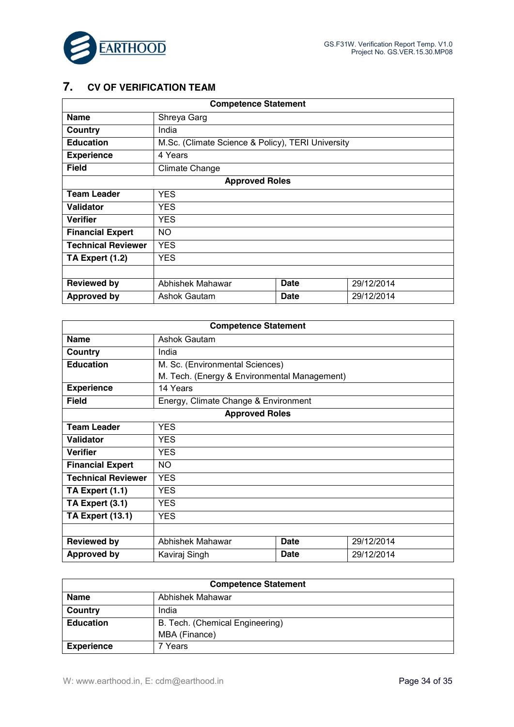



## **7. CV OF VERIFICATION TEAM**

| <b>Competence Statement</b> |                                                   |             |            |
|-----------------------------|---------------------------------------------------|-------------|------------|
| <b>Name</b>                 | Shreya Garg                                       |             |            |
| Country                     | India                                             |             |            |
| <b>Education</b>            | M.Sc. (Climate Science & Policy), TERI University |             |            |
| <b>Experience</b>           | 4 Years                                           |             |            |
| <b>Field</b>                | Climate Change                                    |             |            |
|                             | <b>Approved Roles</b>                             |             |            |
| <b>Team Leader</b>          | <b>YES</b>                                        |             |            |
| Validator                   | <b>YES</b>                                        |             |            |
| <b>Verifier</b>             | <b>YES</b>                                        |             |            |
| <b>Financial Expert</b>     | NO.                                               |             |            |
| <b>Technical Reviewer</b>   | <b>YES</b>                                        |             |            |
| TA Expert (1.2)             | <b>YES</b>                                        |             |            |
|                             |                                                   |             |            |
| <b>Reviewed by</b>          | Abhishek Mahawar                                  | <b>Date</b> | 29/12/2014 |
| <b>Approved by</b>          | Ashok Gautam                                      | <b>Date</b> | 29/12/2014 |

| <b>Competence Statement</b> |                                              |             |            |  |
|-----------------------------|----------------------------------------------|-------------|------------|--|
| <b>Name</b>                 | Ashok Gautam                                 |             |            |  |
| Country                     | India                                        |             |            |  |
| <b>Education</b>            | M. Sc. (Environmental Sciences)              |             |            |  |
|                             | M. Tech. (Energy & Environmental Management) |             |            |  |
| <b>Experience</b>           | 14 Years                                     |             |            |  |
| <b>Field</b>                | Energy, Climate Change & Environment         |             |            |  |
|                             | <b>Approved Roles</b>                        |             |            |  |
| <b>Team Leader</b>          | <b>YES</b>                                   |             |            |  |
| Validator                   | <b>YES</b>                                   |             |            |  |
| <b>Verifier</b>             | <b>YES</b>                                   |             |            |  |
| <b>Financial Expert</b>     | NO.                                          |             |            |  |
| <b>Technical Reviewer</b>   | <b>YES</b>                                   |             |            |  |
| TA Expert (1.1)             | <b>YES</b>                                   |             |            |  |
| TA Expert (3.1)             | <b>YES</b>                                   |             |            |  |
| <b>TA Expert (13.1)</b>     | <b>YES</b>                                   |             |            |  |
|                             |                                              |             |            |  |
| <b>Reviewed by</b>          | Abhishek Mahawar                             | <b>Date</b> | 29/12/2014 |  |
| <b>Approved by</b>          | Kaviraj Singh                                | <b>Date</b> | 29/12/2014 |  |

| <b>Competence Statement</b> |                                 |  |
|-----------------------------|---------------------------------|--|
| <b>Name</b>                 | Abhishek Mahawar                |  |
| Country                     | India                           |  |
| <b>Education</b>            | B. Tech. (Chemical Engineering) |  |
|                             | MBA (Finance)                   |  |
| <b>Experience</b>           | 7 Years                         |  |